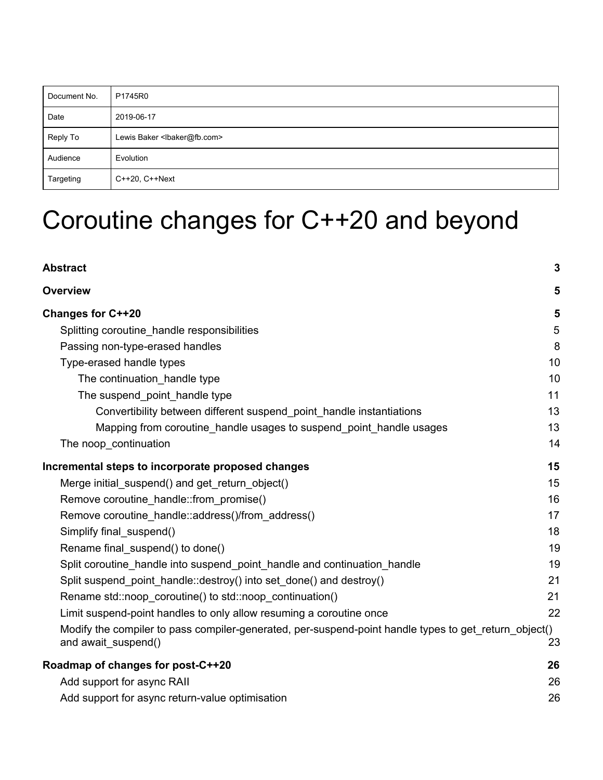| Document No. | P1745R0                                     |
|--------------|---------------------------------------------|
| Date         | 2019-06-17                                  |
| Reply To     | Lewis Baker <lbaker@fb.com></lbaker@fb.com> |
| Audience     | Evolution                                   |
| Targeting    | C++20, C++Next                              |

# Coroutine changes for C++20 and beyond

| <b>Abstract</b>                                                                                                              | $\mathbf{3}$ |
|------------------------------------------------------------------------------------------------------------------------------|--------------|
| <b>Overview</b>                                                                                                              | 5            |
| <b>Changes for C++20</b>                                                                                                     | 5            |
| Splitting coroutine_handle responsibilities                                                                                  | $\sqrt{5}$   |
| Passing non-type-erased handles                                                                                              | 8            |
| Type-erased handle types                                                                                                     | 10           |
| The continuation handle type                                                                                                 | 10           |
| The suspend_point_handle type                                                                                                | 11           |
| Convertibility between different suspend_point_handle instantiations                                                         | 13           |
| Mapping from coroutine handle usages to suspend point handle usages                                                          | 13           |
| The noop_continuation                                                                                                        | 14           |
| Incremental steps to incorporate proposed changes                                                                            | 15           |
| Merge initial_suspend() and get_return_object()                                                                              | 15           |
| Remove coroutine_handle::from_promise()                                                                                      | 16           |
| Remove coroutine_handle::address()/from_address()                                                                            | 17           |
| Simplify final_suspend()                                                                                                     | 18           |
| Rename final_suspend() to done()                                                                                             | 19           |
| Split coroutine handle into suspend point handle and continuation handle                                                     | 19           |
| Split suspend_point_handle::destroy() into set_done() and destroy()                                                          | 21           |
| Rename std::noop coroutine() to std::noop continuation()                                                                     | 21           |
| Limit suspend-point handles to only allow resuming a coroutine once                                                          | 22           |
| Modify the compiler to pass compiler-generated, per-suspend-point handle types to get_return_object()<br>and await_suspend() | 23           |
| Roadmap of changes for post-C++20                                                                                            | 26           |
| Add support for async RAII                                                                                                   | 26           |
| Add support for async return-value optimisation                                                                              | 26           |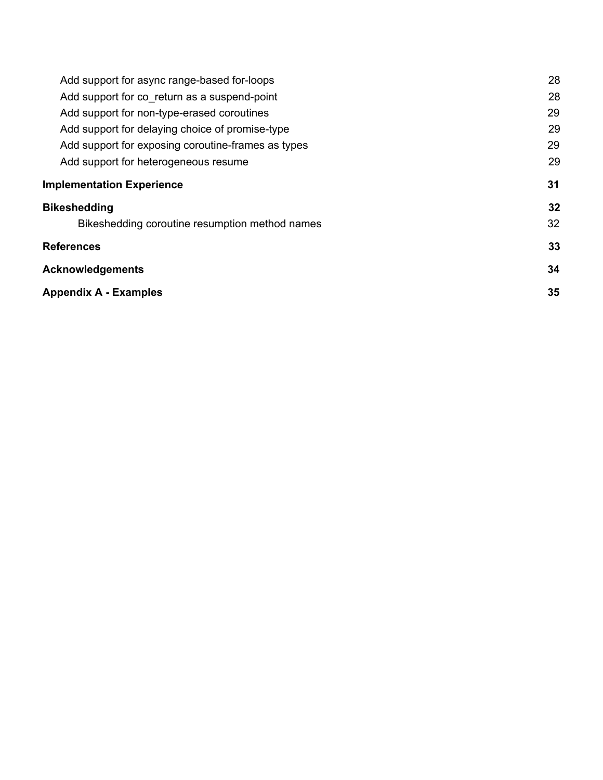| Add support for async range-based for-loops        | 28 |
|----------------------------------------------------|----|
| Add support for co return as a suspend-point       | 28 |
| Add support for non-type-erased coroutines         | 29 |
| Add support for delaying choice of promise-type    | 29 |
| Add support for exposing coroutine-frames as types | 29 |
| Add support for heterogeneous resume               | 29 |
| <b>Implementation Experience</b>                   | 31 |
| <b>Bikeshedding</b>                                | 32 |
| Bikeshedding coroutine resumption method names     | 32 |
| <b>References</b>                                  | 33 |
| <b>Acknowledgements</b>                            |    |
| <b>Appendix A - Examples</b>                       | 35 |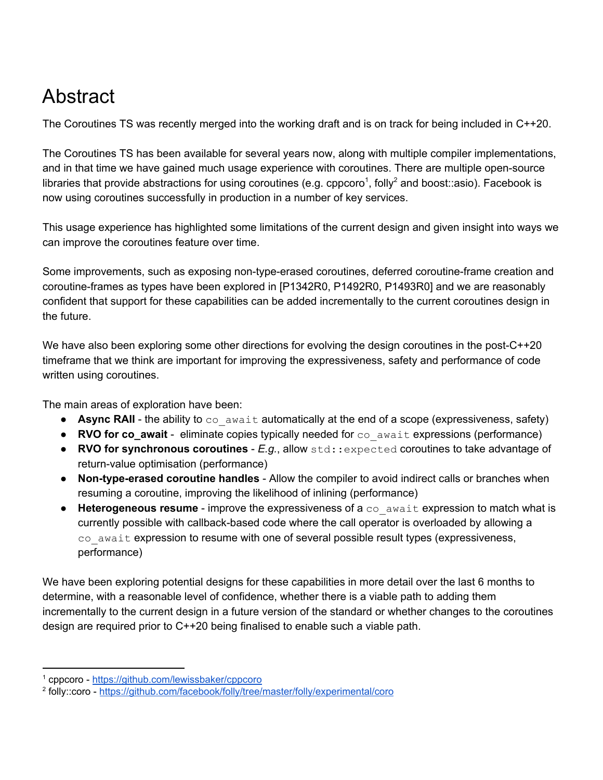# <span id="page-2-0"></span>Abstract

The Coroutines TS was recently merged into the working draft and is on track for being included in C++20.

The Coroutines TS has been available for several years now, along with multiple compiler implementations, and in that time we have gained much usage experience with coroutines. There are multiple open-source libraries that provide abstractions for using coroutines (e.g. cppcoro<sup>1</sup>, folly<sup>2</sup> and boost::asio). Facebook is now using coroutines successfully in production in a number of key services.

This usage experience has highlighted some limitations of the current design and given insight into ways we can improve the coroutines feature over time.

Some improvements, such as exposing non-type-erased coroutines, deferred coroutine-frame creation and coroutine-frames as types have been explored in [P1342R0, P1492R0, P1493R0] and we are reasonably confident that support for these capabilities can be added incrementally to the current coroutines design in the future.

We have also been exploring some other directions for evolving the design coroutines in the post-C++20 timeframe that we think are important for improving the expressiveness, safety and performance of code written using coroutines.

The main areas of exploration have been:

- Async RAII the ability to co\_await automatically at the end of a scope (expressiveness, safety)
- **RVO** for co\_await eliminate copies typically needed for co\_await expressions (performance)
- **RVO for synchronous coroutines** *E.g.*, allow std::expected coroutines to take advantage of return-value optimisation (performance)
- **Non-type-erased coroutine handles** Allow the compiler to avoid indirect calls or branches when resuming a coroutine, improving the likelihood of inlining (performance)
- **Heterogeneous resume** improve the expressiveness of a co\_await expression to match what is currently possible with callback-based code where the call operator is overloaded by allowing a  $\cos$  await expression to resume with one of several possible result types (expressiveness, performance)

We have been exploring potential designs for these capabilities in more detail over the last 6 months to determine, with a reasonable level of confidence, whether there is a viable path to adding them incrementally to the current design in a future version of the standard or whether changes to the coroutines design are required prior to C++20 being finalised to enable such a viable path.

<sup>1</sup> cppcoro - <https://github.com/lewissbaker/cppcoro>

<sup>2</sup> folly::coro - <https://github.com/facebook/folly/tree/master/folly/experimental/coro>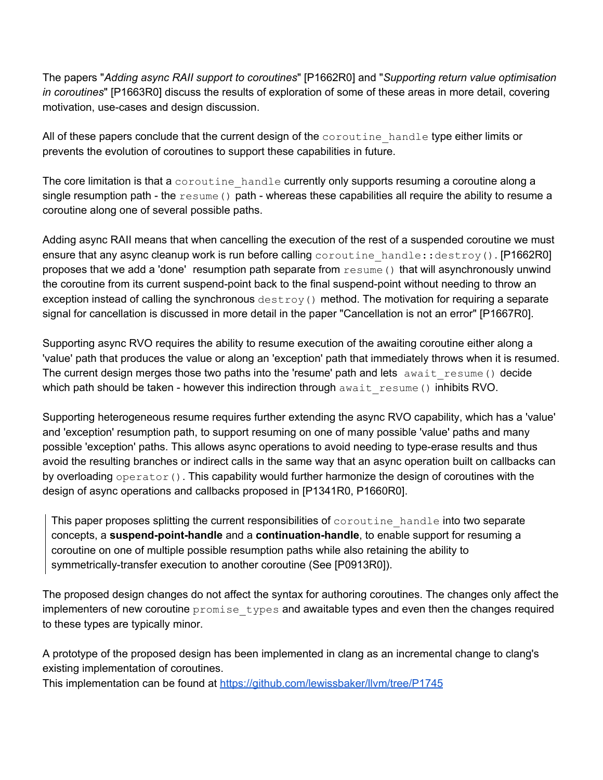The papers "*Adding async RAII support to coroutines*" [P1662R0] and "*Supporting return value optimisation in coroutines*" [P1663R0] discuss the results of exploration of some of these areas in more detail, covering motivation, use-cases and design discussion.

All of these papers conclude that the current design of the coroutine handle type either limits or prevents the evolution of coroutines to support these capabilities in future.

The core limitation is that a coroutine handle currently only supports resuming a coroutine along a single resumption path - the  $r$ esume() path - whereas these capabilities all require the ability to resume a coroutine along one of several possible paths.

Adding async RAII means that when cancelling the execution of the rest of a suspended coroutine we must ensure that any async cleanup work is run before calling coroutine handle::destroy(). [P1662R0] proposes that we add a 'done' resumption path separate from  $r$ esume() that will asynchronously unwind the coroutine from its current suspend-point back to the final suspend-point without needing to throw an exception instead of calling the synchronous  $\text{destroy}()$  method. The motivation for requiring a separate signal for cancellation is discussed in more detail in the paper "Cancellation is not an error" [P1667R0].

Supporting async RVO requires the ability to resume execution of the awaiting coroutine either along a 'value' path that produces the value or along an 'exception' path that immediately throws when it is resumed. The current design merges those two paths into the 'resume' path and lets await resume() decide which path should be taken - however this indirection through  $a$ wait resume() inhibits RVO.

Supporting heterogeneous resume requires further extending the async RVO capability, which has a 'value' and 'exception' resumption path, to support resuming on one of many possible 'value' paths and many possible 'exception' paths. This allows async operations to avoid needing to type-erase results and thus avoid the resulting branches or indirect calls in the same way that an async operation built on callbacks can by overloading operator(). This capability would further harmonize the design of coroutines with the design of async operations and callbacks proposed in [P1341R0, P1660R0].

This paper proposes splitting the current responsibilities of coroutine handle into two separate concepts, a **suspend-point-handle** and a **continuation-handle**, to enable support for resuming a coroutine on one of multiple possible resumption paths while also retaining the ability to symmetrically-transfer execution to another coroutine (See [P0913R0]).

The proposed design changes do not affect the syntax for authoring coroutines. The changes only affect the implementers of new coroutine  $promise-types$  and awaitable types and even then the changes required to these types are typically minor.

A prototype of the proposed design has been implemented in clang as an incremental change to clang's existing implementation of coroutines.

This implementation can be found at <https://github.com/lewissbaker/llvm/tree/P1745>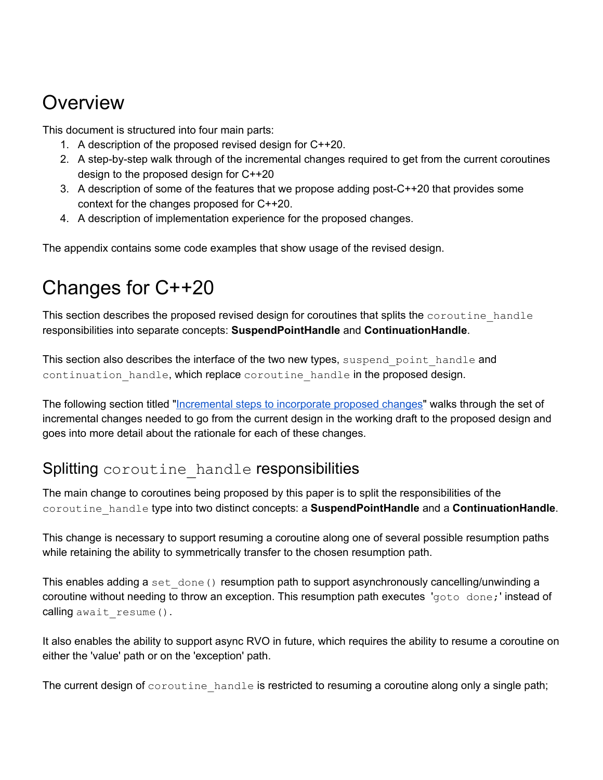# <span id="page-4-0"></span>Overview

This document is structured into four main parts:

- 1. A description of the proposed revised design for C++20.
- 2. A step-by-step walk through of the incremental changes required to get from the current coroutines design to the proposed design for C++20
- 3. A description of some of the features that we propose adding post-C++20 that provides some context for the changes proposed for C++20.
- 4. A description of implementation experience for the proposed changes.

<span id="page-4-1"></span>The appendix contains some code examples that show usage of the revised design.

# Changes for C++20

This section describes the proposed revised design for coroutines that splits the coroutine handle responsibilities into separate concepts: **SuspendPointHandle** and **ContinuationHandle**.

This section also describes the interface of the two new types, suspend point handle and continuation handle, which replace coroutine handle in the proposed design.

The following section titled ["Incremental](#page-14-0) steps to incorporate proposed changes" walks through the set of incremental changes needed to go from the current design in the working draft to the proposed design and goes into more detail about the rationale for each of these changes.

# <span id="page-4-2"></span>Splitting coroutine handle responsibilities

The main change to coroutines being proposed by this paper is to split the responsibilities of the coroutine\_handle type into two distinct concepts: a **SuspendPointHandle** and a **ContinuationHandle**.

This change is necessary to support resuming a coroutine along one of several possible resumption paths while retaining the ability to symmetrically transfer to the chosen resumption path.

This enables adding a set  $\phi$  done() resumption path to support asynchronously cancelling/unwinding a coroutine without needing to throw an exception. This resumption path executes 'goto done;' instead of calling await resume().

It also enables the ability to support async RVO in future, which requires the ability to resume a coroutine on either the 'value' path or on the 'exception' path.

The current design of  $\circ \circ \circ \text{util}$  handle is restricted to resuming a coroutine along only a single path;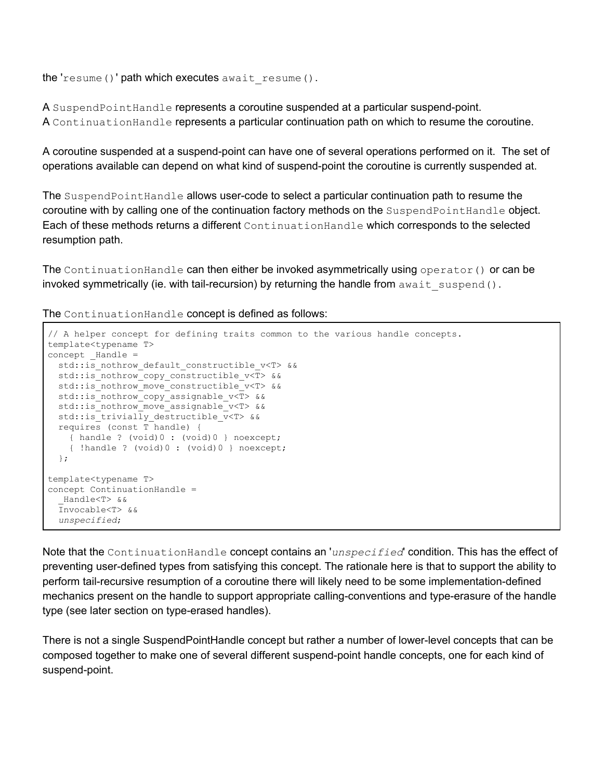the 'resume()' path which executes await resume().

A SuspendPointHandle represents a coroutine suspended at a particular suspend-point. A ContinuationHandle represents a particular continuation path on which to resume the coroutine.

A coroutine suspended at a suspend-point can have one of several operations performed on it. The set of operations available can depend on what kind of suspend-point the coroutine is currently suspended at.

The SuspendPointHandle allows user-code to select a particular continuation path to resume the coroutine with by calling one of the continuation factory methods on the SuspendPointHandle object. Each of these methods returns a different ContinuationHandle which corresponds to the selected resumption path.

The ContinuationHandle can then either be invoked asymmetrically using operator() or can be invoked symmetrically (ie. with tail-recursion) by returning the handle from  $a$ wait suspend().

The ContinuationHandle concept is defined as follows:

```
// A helper concept for defining traits common to the various handle concepts.
template<typename T>
concept Handle =std::is nothrow default constructible v<T> &&
  std::is_nothrow_copy_constructible_v<T> &&
 std:: is nothrow move constructible v<T> &&
  std::is_nothrow_copy_assignable_v<T> &&
  std::is_nothrow_move_assignable_v<T> &&
  std::is_trivially_destructible_v<T> &&
  requires (const T handle) {
    { handle ? (void)0 : (void)0 } noexcept;
     { !handle ? (void)0 : (void)0 } noexcept;
  };
template<typename T>
concept ContinuationHandle =
   _Handle<T> &&
   Invocable<T> &&
   unspecified;
```
Note that the ContinuationHandle concept contains an '*unspecified*' condition. This has the effect of preventing user-defined types from satisfying this concept. The rationale here is that to support the ability to perform tail-recursive resumption of a coroutine there will likely need to be some implementation-defined mechanics present on the handle to support appropriate calling-conventions and type-erasure of the handle type (see later section on type-erased handles).

There is not a single SuspendPointHandle concept but rather a number of lower-level concepts that can be composed together to make one of several different suspend-point handle concepts, one for each kind of suspend-point.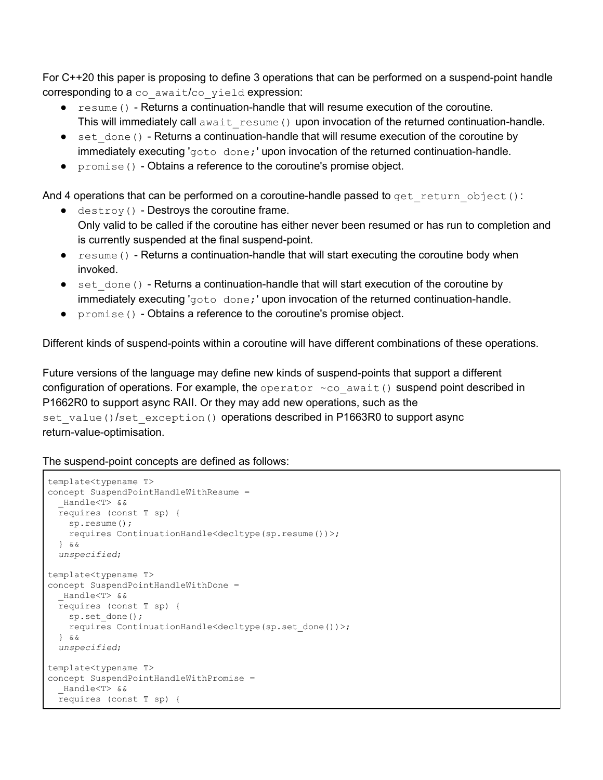For C++20 this paper is proposing to define 3 operations that can be performed on a suspend-point handle corresponding to a co await/co yield expression:

- resume() Returns a continuation-handle that will resume execution of the coroutine. This will immediately call await resume() upon invocation of the returned continuation-handle.
- set done () Returns a continuation-handle that will resume execution of the coroutine by immediately executing 'goto done; 'upon invocation of the returned continuation-handle.
- promise() Obtains a reference to the coroutine's promise object.

And 4 operations that can be performed on a coroutine-handle passed to get return object():

- $\bullet$  destroy() Destroys the coroutine frame. Only valid to be called if the coroutine has either never been resumed or has run to completion and is currently suspended at the final suspend-point.
- resume() Returns a continuation-handle that will start executing the coroutine body when invoked.
- $\bullet$  set done() Returns a continuation-handle that will start execution of the coroutine by immediately executing 'goto done;' upon invocation of the returned continuation-handle.
- promise() Obtains a reference to the coroutine's promise object.

Different kinds of suspend-points within a coroutine will have different combinations of these operations.

Future versions of the language may define new kinds of suspend-points that support a different configuration of operations. For example, the operator  $\sim$  co await() suspend point described in P1662R0 to support async RAII. Or they may add new operations, such as the set value()/set exception() operations described in P1663R0 to support async return-value-optimisation.

The suspend-point concepts are defined as follows:

```
template<typename T>
concept SuspendPointHandleWithResume =
  _Handle<T> &&
  requires (const T sp) {
    sp.resume();
    requires ContinuationHandle<decltype(sp.resume())>;
   } &&
  unspecified;
template<typename T>
concept SuspendPointHandleWithDone =
   _Handle<T> &&
  requires (const T sp) {
   sp.set done();
    requires ContinuationHandle<decltype(sp.set_done())>;
   } &&
  unspecified;
template<typename T>
concept SuspendPointHandleWithPromise =
   _Handle<T> &&
  requires (const T sp) {
```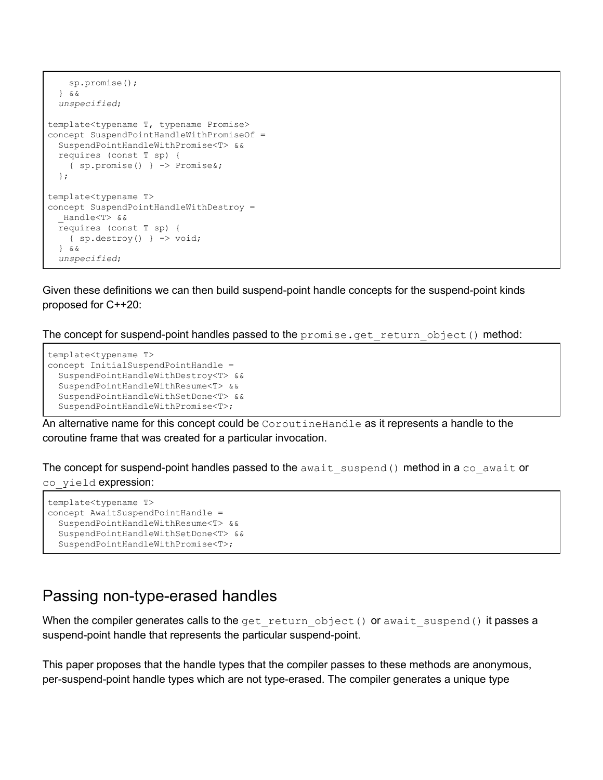```
 sp.promise();
  } &&
  unspecified;
template<typename T, typename Promise>
concept SuspendPointHandleWithPromiseOf =
  SuspendPointHandleWithPromise<T> &&
  requires (const T sp) {
     { sp.promise() } -> Promise&;
  };
template<typename T>
concept SuspendPointHandleWithDestroy =
   _Handle<T> &&
  requires (const T sp) {
     { sp.destroy() } -> void;
   } &&
  unspecified;
```
Given these definitions we can then build suspend-point handle concepts for the suspend-point kinds proposed for C++20:

The concept for suspend-point handles passed to the  $promise.get$  return object() method:

```
template<typename T>
concept InitialSuspendPointHandle =
  SuspendPointHandleWithDestroy<T> &&
   SuspendPointHandleWithResume<T> &&
   SuspendPointHandleWithSetDone<T> &&
  SuspendPointHandleWithPromise<T>;
```
An alternative name for this concept could be CorputineHandle as it represents a handle to the coroutine frame that was created for a particular invocation.

The concept for suspend-point handles passed to the  $a$ wait suspend() method in a co  $a$ wait or co yield expression:

```
template<typename T>
concept AwaitSuspendPointHandle =
  SuspendPointHandleWithResume<T> &&
  SuspendPointHandleWithSetDone<T> &&
  SuspendPointHandleWithPromise<T>;
```
#### <span id="page-7-0"></span>Passing non-type-erased handles

When the compiler generates calls to the get return object() or await suspend() it passes a suspend-point handle that represents the particular suspend-point.

This paper proposes that the handle types that the compiler passes to these methods are anonymous, per-suspend-point handle types which are not type-erased. The compiler generates a unique type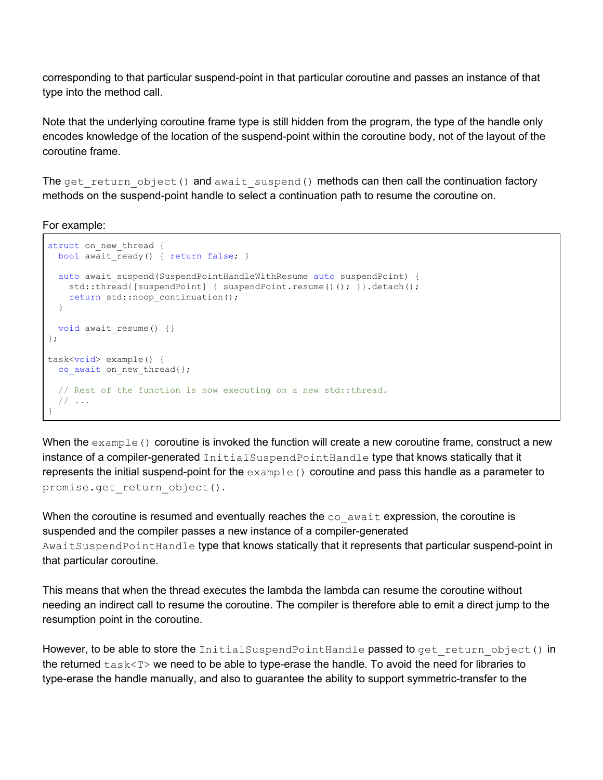corresponding to that particular suspend-point in that particular coroutine and passes an instance of that type into the method call.

Note that the underlying coroutine frame type is still hidden from the program, the type of the handle only encodes knowledge of the location of the suspend-point within the coroutine body, not of the layout of the coroutine frame.

The get return  $object()$  and await suspend() methods can then call the continuation factory methods on the suspend-point handle to select a continuation path to resume the coroutine on.

For example:

```
struct on new thread {
 bool await ready() { return false; }
 auto await suspend(SuspendPointHandleWithResume auto suspendPoint) {
   std::thread{[suspendPoint] { suspendPoint.resume()(); } }.detach();
    return std::noop_continuation();
   }
 void await resume() {}
};
task<void> example() {
 co await on new thread{};
   // Rest of the function is now executing on a new std::thread.
   // ...
}
```
When the  $\alpha$ <sub>xample</sub>() coroutine is invoked the function will create a new coroutine frame, construct a new instance of a compiler-generated InitialSuspendPointHandle type that knows statically that it represents the initial suspend-point for the  $\alpha$  ample () coroutine and pass this handle as a parameter to promise.get return object().

When the coroutine is resumed and eventually reaches the  $\cos$  await expression, the coroutine is suspended and the compiler passes a new instance of a compiler-generated AwaitSuspendPointHandle type that knows statically that it represents that particular suspend-point in that particular coroutine.

This means that when the thread executes the lambda the lambda can resume the coroutine without needing an indirect call to resume the coroutine. The compiler is therefore able to emit a direct jump to the resumption point in the coroutine.

However, to be able to store the InitialSuspendPointHandle passed to get return object() in the returned  $\text{task}\text{<=}$  we need to be able to type-erase the handle. To avoid the need for libraries to type-erase the handle manually, and also to guarantee the ability to support symmetric-transfer to the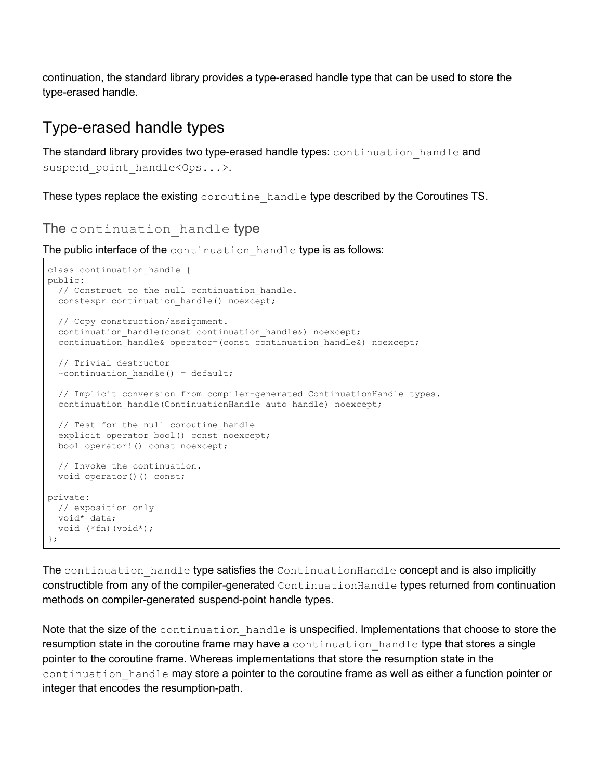continuation, the standard library provides a type-erased handle type that can be used to store the type-erased handle.

# <span id="page-9-0"></span>Type-erased handle types

The standard library provides two type-erased handle types: continuation handle and suspend point handle<Ops...>.

<span id="page-9-1"></span>These types replace the existing coroutine handle type described by the Coroutines TS.

#### The continuation handle type

The public interface of the continuation handle type is as follows:

```
class continuation handle {
public:
  // Construct to the null continuation handle.
  constexpr continuation handle() noexcept;
   // Copy construction/assignment.
  continuation handle(const continuation handle&) noexcept;
   continuation_handle& operator=(const continuation_handle&) noexcept;
  // Trivial destructor
  ~continuation handle() = default;
  // Implicit conversion from compiler-generated ContinuationHandle types.
 continuation handle(ContinuationHandle auto handle) noexcept;
 // Test for the null coroutine handle
   explicit operator bool() const noexcept;
  bool operator!() const noexcept;
  // Invoke the continuation.
  void operator()() const;
private:
  // exposition only
  void* data;
   void (*fn)(void*);
};
```
The continuation handle type satisfies the ContinuationHandle concept and is also implicitly constructible from any of the compiler-generated ContinuationHandle types returned from continuation methods on compiler-generated suspend-point handle types.

Note that the size of the continuation handle is unspecified. Implementations that choose to store the resumption state in the coroutine frame may have a continuation handle type that stores a single pointer to the coroutine frame. Whereas implementations that store the resumption state in the continuation handle may store a pointer to the coroutine frame as well as either a function pointer or integer that encodes the resumption-path.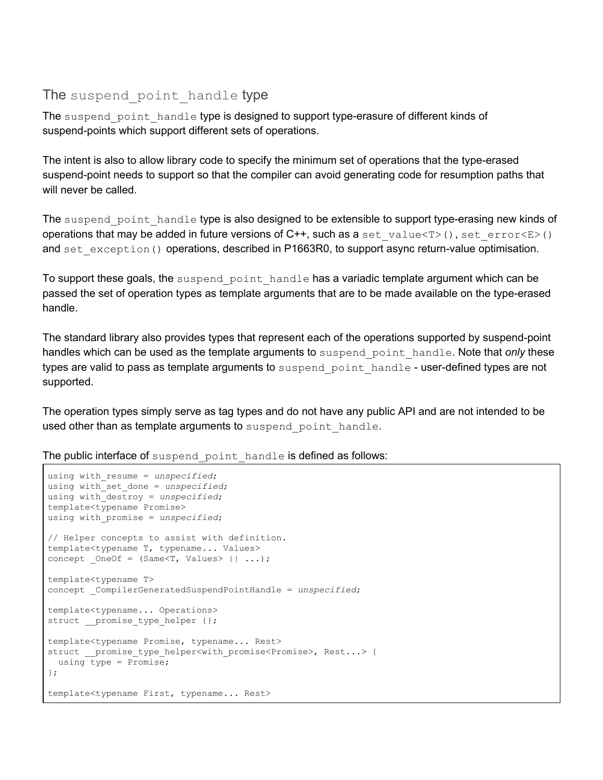#### <span id="page-10-0"></span>The suspend point handle type

The suspend point handle type is designed to support type-erasure of different kinds of suspend-points which support different sets of operations.

The intent is also to allow library code to specify the minimum set of operations that the type-erased suspend-point needs to support so that the compiler can avoid generating code for resumption paths that will never be called.

The suspend point handle type is also designed to be extensible to support type-erasing new kinds of operations that may be added in future versions of  $C++$ , such as a set value $\langle T \rangle$  (), set error $\langle E \rangle$  () and set exception() operations, described in P1663R0, to support async return-value optimisation.

To support these goals, the suspend point handle has a variadic template argument which can be passed the set of operation types as template arguments that are to be made available on the type-erased handle.

The standard library also provides types that represent each of the operations supported by suspend-point handles which can be used as the template arguments to suspend point handle. Note that *only* these types are valid to pass as template arguments to suspend point handle - user-defined types are not supported.

The operation types simply serve as tag types and do not have any public API and are not intended to be used other than as template arguments to suspend point handle.

The public interface of suspend point handle is defined as follows:

```
using with_resume = unspecified;
using with_set_done = unspecified;
using with_destroy = unspecified;
template<typename Promise>
using with_promise = unspecified;
// Helper concepts to assist with definition.
template<typename T, typename... Values>
concept OneOf = (Same<T, Values> || ...);
template<typename T>
concept _CompilerGeneratedSuspendPointHandle = unspecified;
template<typename... Operations>
struct promise type helper {};
template<typename Promise, typename... Rest>
struct __promise_type_helper<with_promise<Promise>, Rest...> {
 using type = Promise;};
template<typename First, typename... Rest>
```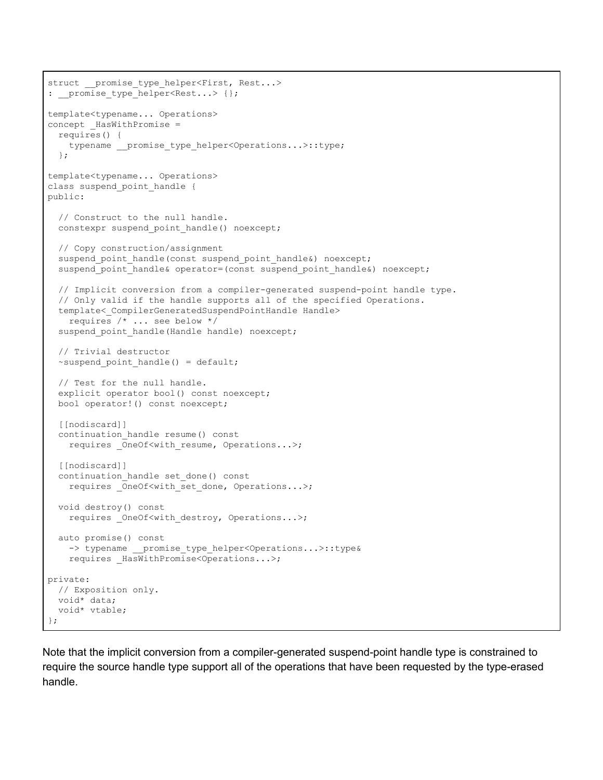```
struct __promise_type helper<First, Rest...>
: _promise_type helper<Rest...> {};
template<typename... Operations>
concept HasWithPromise =
  requires() {
    typename __promise_type_helper<Operations...>::type;
   };
template<typename... Operations>
class suspend point handle {
public:
   // Construct to the null handle.
   constexpr suspend_point_handle() noexcept;
   // Copy construction/assignment
   suspend_point_handle(const suspend_point_handle&) noexcept;
  suspend_point_handle& operator=(const suspend_point_handle&) noexcept;
   // Implicit conversion from a compiler-generated suspend-point handle type.
   // Only valid if the handle supports all of the specified Operations.
  template< CompilerGeneratedSuspendPointHandle Handle>
     requires /* ... see below */
  suspend point handle(Handle handle) noexcept;
   // Trivial destructor
  ~suspend_point_handle() = default;
  // Test for the null handle.
   explicit operator bool() const noexcept;
  bool operator!() const noexcept;
  [[nodiscard]]
  continuation_handle resume() const
   requires OneOf<with resume, Operations...>;
  [[nodiscard]]
   continuation_handle set_done() const
     requires _OneOf<with_set_done, Operations...>;
  void destroy() const
   requires OneOf<with destroy, Operations...>;
   auto promise() const
    -> typename __ promise type helper<Operations...>::type&
     requires _HasWithPromise<Operations...>;
private:
  // Exposition only.
  void* data;
  void* vtable;
};
```
Note that the implicit conversion from a compiler-generated suspend-point handle type is constrained to require the source handle type support all of the operations that have been requested by the type-erased handle.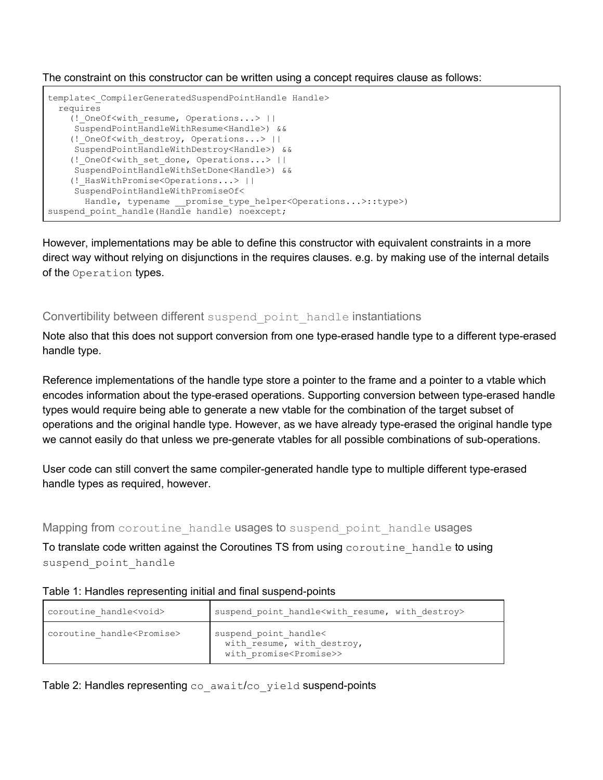The constraint on this constructor can be written using a concept requires clause as follows:

```
template< CompilerGeneratedSuspendPointHandle Handle>
  requires
     (!_OneOf<with_resume, Operations...> ||
     SuspendPointHandleWithResume<Handle>) &&
     (!_OneOf<with_destroy, Operations...> ||
     SuspendPointHandleWithDestroy<Handle>) &&
     (!_OneOf<with_set_done, Operations...> ||
     SuspendPointHandleWithSetDone<Handle>) &&
     (!_HasWithPromise<Operations...> ||
     SuspendPointHandleWithPromiseOf<
      Handle, typename __ promise_type_helper<Operations...>::type>)
suspend point handle(Handle handle) noexcept;
```
However, implementations may be able to define this constructor with equivalent constraints in a more direct way without relying on disjunctions in the requires clauses. e.g. by making use of the internal details of the Operation types.

#### <span id="page-12-0"></span>Convertibility between different suspend point handle instantiations

Note also that this does not support conversion from one type-erased handle type to a different type-erased handle type.

Reference implementations of the handle type store a pointer to the frame and a pointer to a vtable which encodes information about the type-erased operations. Supporting conversion between type-erased handle types would require being able to generate a new vtable for the combination of the target subset of operations and the original handle type. However, as we have already type-erased the original handle type we cannot easily do that unless we pre-generate vtables for all possible combinations of sub-operations.

User code can still convert the same compiler-generated handle type to multiple different type-erased handle types as required, however.

#### <span id="page-12-1"></span>Mapping from coroutine handle usages to suspend point handle usages

To translate code written against the Coroutines TS from using coroutine handle to using suspend point handle

#### Table 1: Handles representing initial and final suspend-points

| coroutine handle <void></void>       | suspend point handle <with destroy="" resume,="" with=""></with>                            |
|--------------------------------------|---------------------------------------------------------------------------------------------|
| coroutine handle <promise></promise> | suspend point handle<<br>with resume, with destroy,<br>with promise <promise>&gt;</promise> |

Table 2: Handles representing co await/co yield suspend-points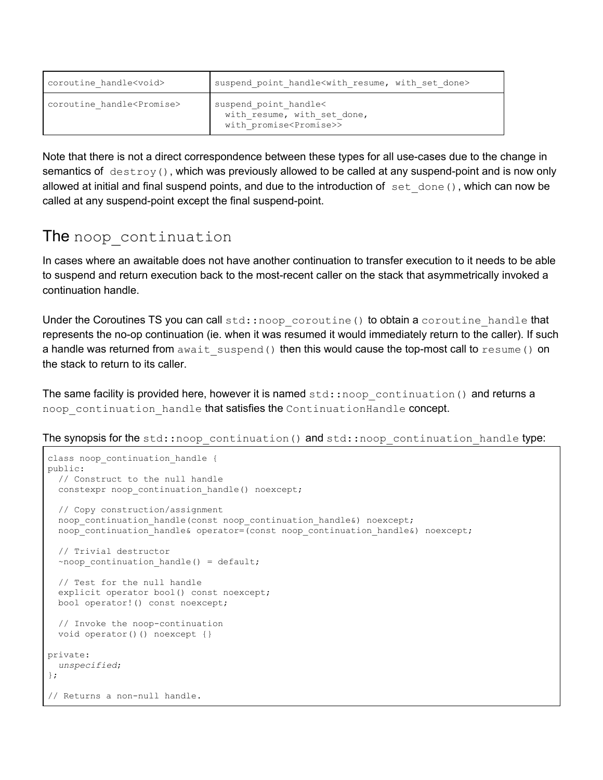| coroutine handle <void></void>       | suspend point handle <with done="" resume,="" set="" with=""></with>                         |
|--------------------------------------|----------------------------------------------------------------------------------------------|
| coroutine handle <promise></promise> | suspend point handle<<br>with resume, with set done,<br>with promise <promise>&gt;</promise> |

Note that there is not a direct correspondence between these types for all use-cases due to the change in semantics of  $\text{destroy}()$ , which was previously allowed to be called at any suspend-point and is now only allowed at initial and final suspend points, and due to the introduction of  $set$  done(), which can now be called at any suspend-point except the final suspend-point.

# <span id="page-13-0"></span>The noop continuation

In cases where an awaitable does not have another continuation to transfer execution to it needs to be able to suspend and return execution back to the most-recent caller on the stack that asymmetrically invoked a continuation handle.

Under the Coroutines TS you can call  $std: \text{inoop coroutine)}$  to obtain a coroutine handle that represents the no-op continuation (ie. when it was resumed it would immediately return to the caller). If such a handle was returned from await suspend() then this would cause the top-most call to resume() on the stack to return to its caller.

The same facility is provided here, however it is named  $std:inoop$  continuation() and returns a noop continuation handle that satisfies the ContinuationHandle concept.

The synopsis for the std::noop continuation() and std::noop continuation handle type:

```
class noop continuation handle {
public:
   // Construct to the null handle
 constexpr noop continuation handle() noexcept;
  // Copy construction/assignment
 noop_continuation_handle(const_noop_continuation_handle&) noexcept;
 noop_continuation_handle& operator=(const noop_continuation_handle&) noexcept;
  // Trivial destructor
 ~noop continuation handle() = default;
  // Test for the null handle
  explicit operator bool() const noexcept;
  bool operator!() const noexcept;
   // Invoke the noop-continuation
   void operator()() noexcept {}
private:
  unspecified;
};
// Returns a non-null handle.
```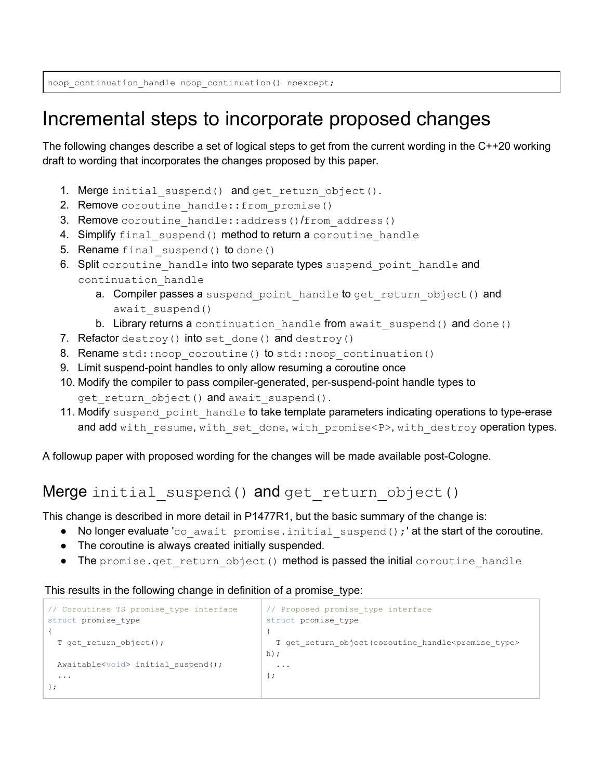noop\_continuation\_handle noop\_continuation() noexcept;

# <span id="page-14-0"></span>Incremental steps to incorporate proposed changes

The following changes describe a set of logical steps to get from the current wording in the C++20 working draft to wording that incorporates the changes proposed by this paper.

- 1. Merge initial suspend() and get return object().
- 2. Remove coroutine handle:: from promise()
- 3. Remove coroutine handle::address()/from address()
- 4. Simplify final suspend() method to return a coroutine handle
- 5. Rename final suspend() to done()
- 6. Split coroutine handle into two separate types suspend point handle and continuation\_handle
	- a. Compiler passes a suspend point handle to get return object () and await suspend()
	- b. Library returns a continuation handle from await suspend() and done()
- 7. Refactor destroy() into set done() and destroy()
- 8. Rename std::noop\_coroutine() to std::noop\_continuation()
- 9. Limit suspend-point handles to only allow resuming a coroutine once
- 10. Modify the compiler to pass compiler-generated, per-suspend-point handle types to get return object() and await suspend().
- 11. Modify suspend point handle to take template parameters indicating operations to type-erase and add with resume, with set done, with promise<P>, with destroy operation types.

<span id="page-14-1"></span>A followup paper with proposed wording for the changes will be made available post-Cologne.

### Merge initial suspend() and get return object()

This change is described in more detail in P1477R1, but the basic summary of the change is:

- No longer evaluate 'co await promise.initial suspend();' at the start of the coroutine.
- The coroutine is always created initially suspended.
- The promise.get return object() method is passed the initial coroutine handle

This results in the following change in definition of a promise\_type:

```
// Coroutines TS promise_type interface
struct promise_type
{
 T get return object();
 Awaitable<void> initial suspend();
 ...
};
                                              // Proposed promise_type interface
                                             struct promise_type
                                             {
                                               T get return object(coroutine handle<promise type>
                                             h);
                                                ...
                                              };
```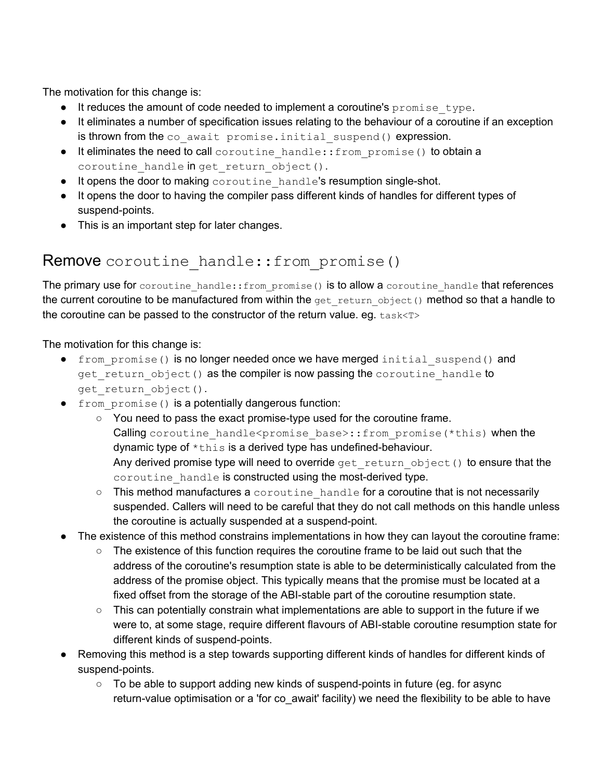The motivation for this change is:

- $\bullet$  It reduces the amount of code needed to implement a coroutine's  $\gamma$  promise type.
- It eliminates a number of specification issues relating to the behaviour of a coroutine if an exception is thrown from the co await promise.initial suspend() expression.
- It eliminates the need to call coroutine\_handle::from\_promise() to obtain a coroutine handle in get return object().
- $\bullet$  It opens the door to making coroutine handle's resumption single-shot.
- It opens the door to having the compiler pass different kinds of handles for different types of suspend-points.
- This is an important step for later changes.

### <span id="page-15-0"></span>Remove coroutine handle::from promise()

The primary use for coroutine handle:: $from\text{ promise}$ ) is to allow a coroutine handle that references the current coroutine to be manufactured from within the get return object() method so that a handle to the coroutine can be passed to the constructor of the return value. eq.  $task < T$ 

The motivation for this change is:

- from promise() is no longer needed once we have merged initial suspend() and get return object() as the compiler is now passing the coroutine handle to get return object().
- from\_promise() is a potentially dangerous function:
	- You need to pass the exact promise-type used for the coroutine frame. Calling coroutine handle<promise base>::from promise(\*this) when the dynamic type of \*this is a derived type has undefined-behaviour. Any derived promise type will need to override get return object() to ensure that the coroutine handle is constructed using the most-derived type.
	- This method manufactures a coroutine handle for a coroutine that is not necessarily suspended. Callers will need to be careful that they do not call methods on this handle unless the coroutine is actually suspended at a suspend-point.
- The existence of this method constrains implementations in how they can layout the coroutine frame:
	- The existence of this function requires the coroutine frame to be laid out such that the address of the coroutine's resumption state is able to be deterministically calculated from the address of the promise object. This typically means that the promise must be located at a fixed offset from the storage of the ABI-stable part of the coroutine resumption state.
	- $\circ$  This can potentially constrain what implementations are able to support in the future if we were to, at some stage, require different flavours of ABI-stable coroutine resumption state for different kinds of suspend-points.
- Removing this method is a step towards supporting different kinds of handles for different kinds of suspend-points.
	- $\circ$  To be able to support adding new kinds of suspend-points in future (eq. for async return-value optimisation or a 'for co\_await' facility) we need the flexibility to be able to have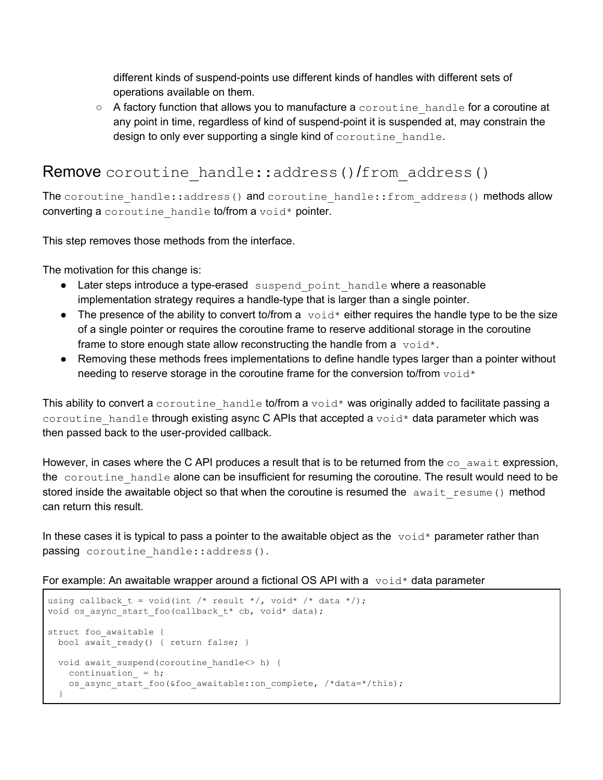different kinds of suspend-points use different kinds of handles with different sets of operations available on them.

 $\circ$  A factory function that allows you to manufacture a coroutine handle for a coroutine at any point in time, regardless of kind of suspend-point it is suspended at, may constrain the design to only ever supporting a single kind of coroutine handle.

### <span id="page-16-0"></span>Remove coroutine handle::address()/from address()

The coroutine handle::address() and coroutine handle::from address() methods allow converting a coroutine handle to/from a void\* pointer.

This step removes those methods from the interface.

The motivation for this change is:

- Later steps introduce a type-erased suspend point handle where a reasonable implementation strategy requires a handle-type that is larger than a single pointer.
- The presence of the ability to convert to/from a  $\text{void} *$  either requires the handle type to be the size of a single pointer or requires the coroutine frame to reserve additional storage in the coroutine frame to store enough state allow reconstructing the handle from a  $\text{void}^*$ .
- Removing these methods frees implementations to define handle types larger than a pointer without needing to reserve storage in the coroutine frame for the conversion to/from  $\text{void}^*$

This ability to convert a coroutine handle to/from a void\* was originally added to facilitate passing a coroutine handle through existing async C APIs that accepted a  $\text{void}^*$  data parameter which was then passed back to the user-provided callback.

However, in cases where the C API produces a result that is to be returned from the  $\cos$  await expression, the coroutine handle alone can be insufficient for resuming the coroutine. The result would need to be stored inside the awaitable object so that when the coroutine is resumed the await resume() method can return this result.

In these cases it is typical to pass a pointer to the awaitable object as the  $\text{void*}$  parameter rather than passing coroutine\_handle::address().

For example: An awaitable wrapper around a fictional OS API with a  $\text{void}^*$  data parameter

```
using callback t = void(int / * result * /, void * / * data * /);void os_async_start_foo(callback_t* cb, void* data);
struct foo awaitable {
 bool await ready() { return false; }
 void await suspend(coroutine handle<> h) {
   continuation = h;
   os_async_start_foo(&foo_awaitable::on_complete, /*data=*/this);
  }
```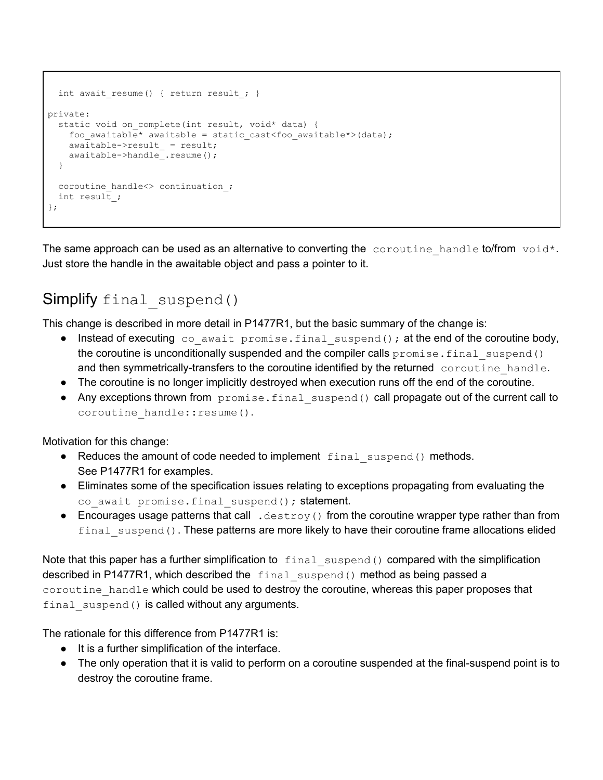```
int await resume() { return result ; }
private:
  static void on complete(int result, void* data) {
    foo awaitable* awaitable = static cast<foo awaitable*>(data);
     awaitable->result_ = result;
     awaitable->handle_.resume();
   }
  coroutine handle<> continuation_;
   int result_;
};
```
The same approach can be used as an alternative to converting the coroutine handle to/from void\*. Just store the handle in the awaitable object and pass a pointer to it.

# <span id="page-17-0"></span>Simplify final suspend()

This change is described in more detail in P1477R1, but the basic summary of the change is:

- $\bullet$  Instead of executing co await promise.final suspend(); at the end of the coroutine body, the coroutine is unconditionally suspended and the compiler calls  $p_{\text{romise}}$ . final suspend() and then symmetrically-transfers to the coroutine identified by the returned coroutine handle.
- The coroutine is no longer implicitly destroyed when execution runs off the end of the coroutine.
- Any exceptions thrown from  $p$  romise.  $f$  inal suspend() call propagate out of the current call to coroutine handle:: resume().

Motivation for this change:

- Reduces the amount of code needed to implement final suspend() methods. See P1477R1 for examples.
- Eliminates some of the specification issues relating to exceptions propagating from evaluating the co await promise.final suspend(); statement.
- Encourages usage patterns that call .  $destroy()$  from the coroutine wrapper type rather than from final suspend(). These patterns are more likely to have their coroutine frame allocations elided

Note that this paper has a further simplification to  $final\,\,\text{suspend}$  compared with the simplification described in P1477R1, which described the final suspend() method as being passed a coroutine handle which could be used to destroy the coroutine, whereas this paper proposes that final suspend() is called without any arguments.

The rationale for this difference from P1477R1 is:

- It is a further simplification of the interface.
- The only operation that it is valid to perform on a coroutine suspended at the final-suspend point is to destroy the coroutine frame.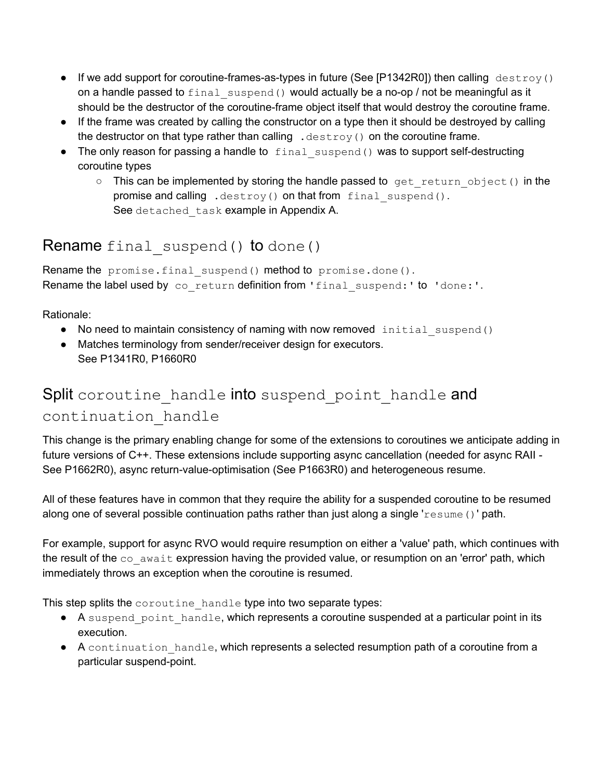- If we add support for coroutine-frames-as-types in future (See [P1342R0]) then calling  $\text{destrov}()$ on a handle passed to  $final$  suspend() would actually be a no-op / not be meaningful as it should be the destructor of the coroutine-frame object itself that would destroy the coroutine frame.
- If the frame was created by calling the constructor on a type then it should be destroyed by calling the destructor on that type rather than calling  $\ldots$  destroy() on the coroutine frame.
- The only reason for passing a handle to final suspend() was to support self-destructing coroutine types
	- o This can be implemented by storing the handle passed to get return object() in the promise and calling .destroy() on that from final suspend(). See detached task example in Appendix A.

### <span id="page-18-0"></span>Rename final suspend() to done()

Rename the promise.final suspend() method to promise.done(). Rename the label used by co return definition from 'final suspend:' to 'done:'.

Rationale:

- No need to maintain consistency of naming with now removed initial suspend()
- Matches terminology from sender/receiver design for executors. See P1341R0, P1660R0

# <span id="page-18-1"></span>Split coroutine handle into suspend point handle and continuation\_handle

This change is the primary enabling change for some of the extensions to coroutines we anticipate adding in future versions of C++. These extensions include supporting async cancellation (needed for async RAII - See P1662R0), async return-value-optimisation (See P1663R0) and heterogeneous resume.

All of these features have in common that they require the ability for a suspended coroutine to be resumed along one of several possible continuation paths rather than just along a single 'resume ()' path.

For example, support for async RVO would require resumption on either a 'value' path, which continues with the result of the  $\infty$  await expression having the provided value, or resumption on an 'error' path, which immediately throws an exception when the coroutine is resumed.

This step splits the coroutine handle type into two separate types:

- A suspend point handle, which represents a coroutine suspended at a particular point in its execution.
- A continuation handle, which represents a selected resumption path of a coroutine from a particular suspend-point.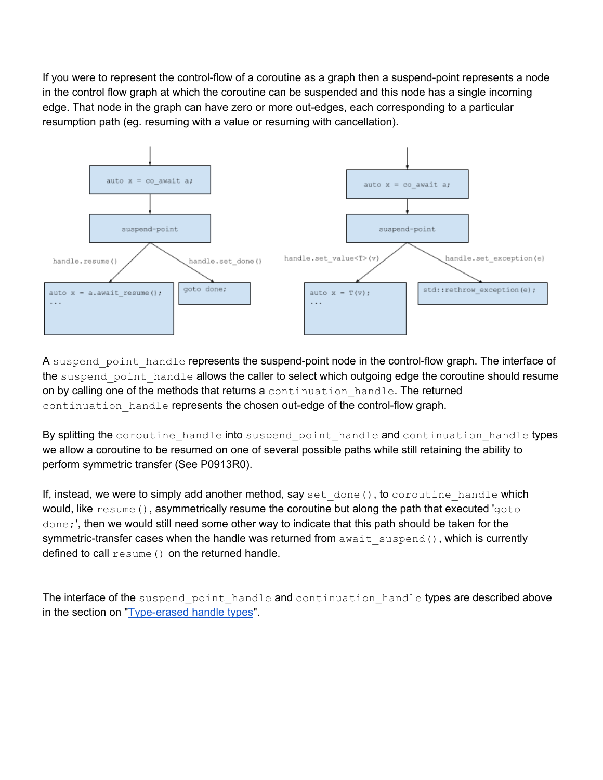If you were to represent the control-flow of a coroutine as a graph then a suspend-point represents a node in the control flow graph at which the coroutine can be suspended and this node has a single incoming edge. That node in the graph can have zero or more out-edges, each corresponding to a particular resumption path (eg. resuming with a value or resuming with cancellation).



A suspend point handle represents the suspend-point node in the control-flow graph. The interface of the suspend point handle allows the caller to select which outgoing edge the coroutine should resume on by calling one of the methods that returns a continuation handle. The returned continuation handle represents the chosen out-edge of the control-flow graph.

By splitting the coroutine handle into suspend point handle and continuation handle types we allow a coroutine to be resumed on one of several possible paths while still retaining the ability to perform symmetric transfer (See P0913R0).

If, instead, we were to simply add another method, say set  $\phi$  done(), to coroutine handle which would, like resume(), asymmetrically resume the coroutine but along the path that executed 'goto done;', then we would still need some other way to indicate that this path should be taken for the symmetric-transfer cases when the handle was returned from await suspend(), which is currently defined to call resume () on the returned handle.

The interface of the suspend point handle and continuation handle types are described above in the section on ["Type-erased](#page-9-0) handle types".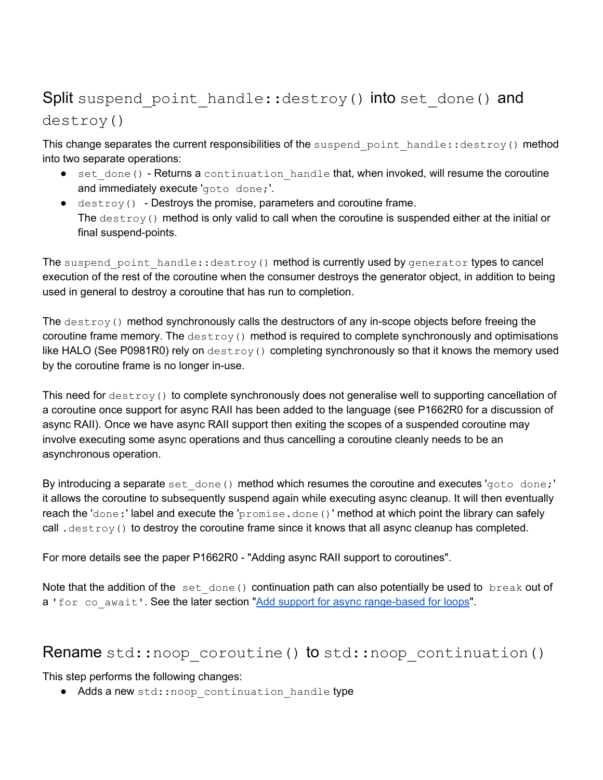# <span id="page-20-0"></span>Split suspend point handle::destroy() into set done() and destroy()

This change separates the current responsibilities of the suspend point handle:: destroy() method into two separate operations:

- set done() Returns a continuation handle that, when invoked, will resume the coroutine and immediately execute 'goto done;'.
- $\bullet$  destroy() Destroys the promise, parameters and coroutine frame. The  $destroy()$  method is only valid to call when the coroutine is suspended either at the initial or final suspend-points.

The suspend point handle::destroy() method is currently used by generator types to cancel execution of the rest of the coroutine when the consumer destroys the generator object, in addition to being used in general to destroy a coroutine that has run to completion.

The  $\text{destroy}(i)$  method synchronously calls the destructors of any in-scope objects before freeing the coroutine frame memory. The  $\text{destroy}()$  method is required to complete synchronously and optimisations like HALO (See P0981R0) rely on  $destroy()$  completing synchronously so that it knows the memory used by the coroutine frame is no longer in-use.

This need for destroy() to complete synchronously does not generalise well to supporting cancellation of a coroutine once support for async RAII has been added to the language (see P1662R0 for a discussion of async RAII). Once we have async RAII support then exiting the scopes of a suspended coroutine may involve executing some async operations and thus cancelling a coroutine cleanly needs to be an asynchronous operation.

By introducing a separate set done() method which resumes the coroutine and executes 'goto done;' it allows the coroutine to subsequently suspend again while executing async cleanup. It will then eventually reach the 'done:' label and execute the 'promise.done()' method at which point the library can safely call . destroy() to destroy the coroutine frame since it knows that all async cleanup has completed.

For more details see the paper P1662R0 - "Adding async RAII support to coroutines".

Note that the addition of the set done() continuation path can also potentially be used to break out of a 'for co\_await'. See the later section "Add support for async [range-based](#page-27-0) for loops".

#### <span id="page-20-1"></span>Rename std::noop\_coroutine() to std::noop\_continuation()

This step performs the following changes:

• Adds a new std:: noop continuation handle type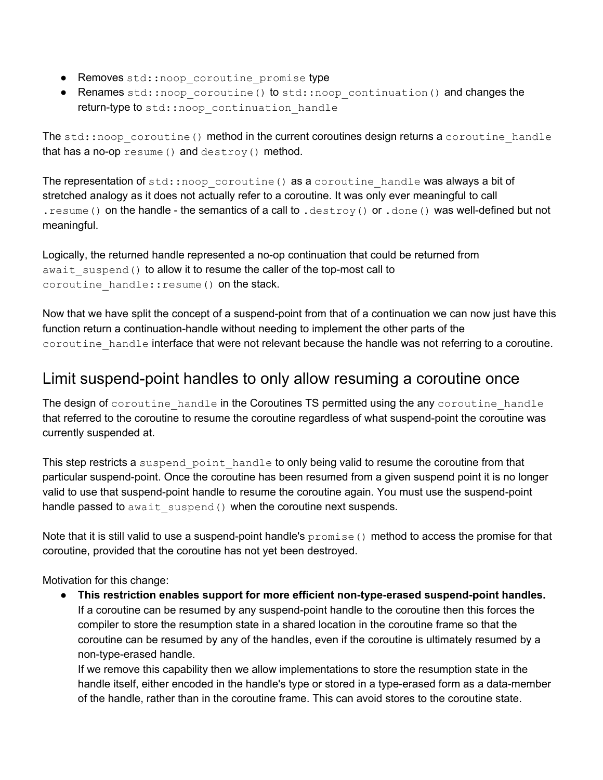- Removes std::noop coroutine promise type
- Renames std::noop\_coroutine() to std::noop\_continuation() and changes the return-type to std:: noop continuation handle

The  $std:inoop coroutine()$  method in the current coroutines design returns a coroutine handle that has a no-op resume() and destroy() method.

The representation of  $std::noop$  coroutine() as a coroutine handle was always a bit of stretched analogy as it does not actually refer to a coroutine. It was only ever meaningful to call . resume() on the handle - the semantics of a call to . destroy() or . done() was well-defined but not meaningful.

Logically, the returned handle represented a no-op continuation that could be returned from await suspend() to allow it to resume the caller of the top-most call to coroutine handle:: resume() on the stack.

Now that we have split the concept of a suspend-point from that of a continuation we can now just have this function return a continuation-handle without needing to implement the other parts of the coroutine handle interface that were not relevant because the handle was not referring to a coroutine.

### <span id="page-21-0"></span>Limit suspend-point handles to only allow resuming a coroutine once

The design of coroutine handle in the Coroutines TS permitted using the any coroutine handle that referred to the coroutine to resume the coroutine regardless of what suspend-point the coroutine was currently suspended at.

This step restricts a suspend point handle to only being valid to resume the coroutine from that particular suspend-point. Once the coroutine has been resumed from a given suspend point it is no longer valid to use that suspend-point handle to resume the coroutine again. You must use the suspend-point handle passed to await suspend() when the coroutine next suspends.

Note that it is still valid to use a suspend-point handle's  $p$   $r$ omise() method to access the promise for that coroutine, provided that the coroutine has not yet been destroyed.

Motivation for this change:

● **This restriction enables support for more efficient non-type-erased suspend-point handles.** If a coroutine can be resumed by any suspend-point handle to the coroutine then this forces the compiler to store the resumption state in a shared location in the coroutine frame so that the coroutine can be resumed by any of the handles, even if the coroutine is ultimately resumed by a non-type-erased handle.

If we remove this capability then we allow implementations to store the resumption state in the handle itself, either encoded in the handle's type or stored in a type-erased form as a data-member of the handle, rather than in the coroutine frame. This can avoid stores to the coroutine state.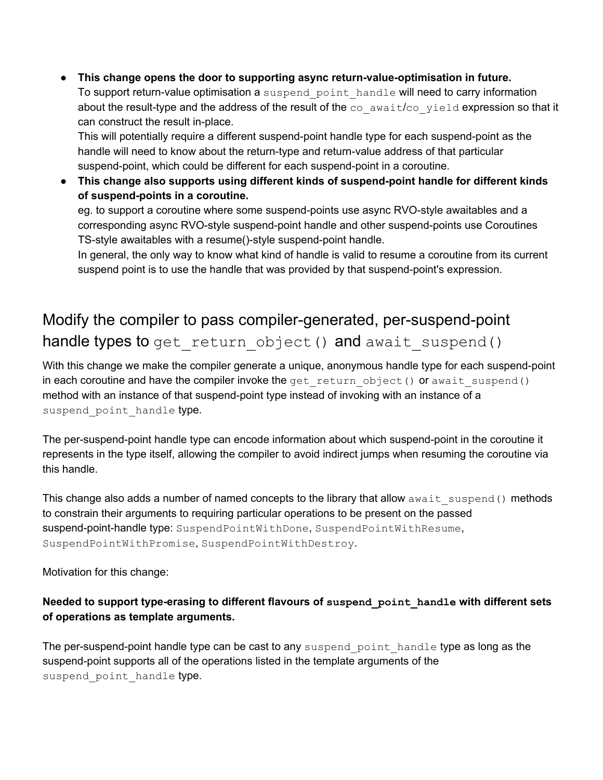● **This change opens the door to supporting async return-value-optimisation in future.**

To support return-value optimisation a suspend point handle will need to carry information about the result-type and the address of the result of the co await/co yield expression so that it can construct the result in-place.

This will potentially require a different suspend-point handle type for each suspend-point as the handle will need to know about the return-type and return-value address of that particular suspend-point, which could be different for each suspend-point in a coroutine.

● **This change also supports using different kinds of suspend-point handle for different kinds of suspend-points in a coroutine.**

eg. to support a coroutine where some suspend-points use async RVO-style awaitables and a corresponding async RVO-style suspend-point handle and other suspend-points use Coroutines TS-style awaitables with a resume()-style suspend-point handle.

In general, the only way to know what kind of handle is valid to resume a coroutine from its current suspend point is to use the handle that was provided by that suspend-point's expression.

# <span id="page-22-0"></span>Modify the compiler to pass compiler-generated, per-suspend-point handle types to get return object() and await suspend()

With this change we make the compiler generate a unique, anonymous handle type for each suspend-point in each coroutine and have the compiler invoke the get return object() or await suspend() method with an instance of that suspend-point type instead of invoking with an instance of a suspend point handle type.

The per-suspend-point handle type can encode information about which suspend-point in the coroutine it represents in the type itself, allowing the compiler to avoid indirect jumps when resuming the coroutine via this handle.

This change also adds a number of named concepts to the library that allow await suspend() methods to constrain their arguments to requiring particular operations to be present on the passed suspend-point-handle type: SuspendPointWithDone, SuspendPointWithResume, SuspendPointWithPromise, SuspendPointWithDestroy.

Motivation for this change:

#### **Needed to support type-erasing to different flavours of suspend\_point\_handle with different sets of operations as template arguments.**

The per-suspend-point handle type can be cast to any suspend point handle type as long as the suspend-point supports all of the operations listed in the template arguments of the suspend point handle type.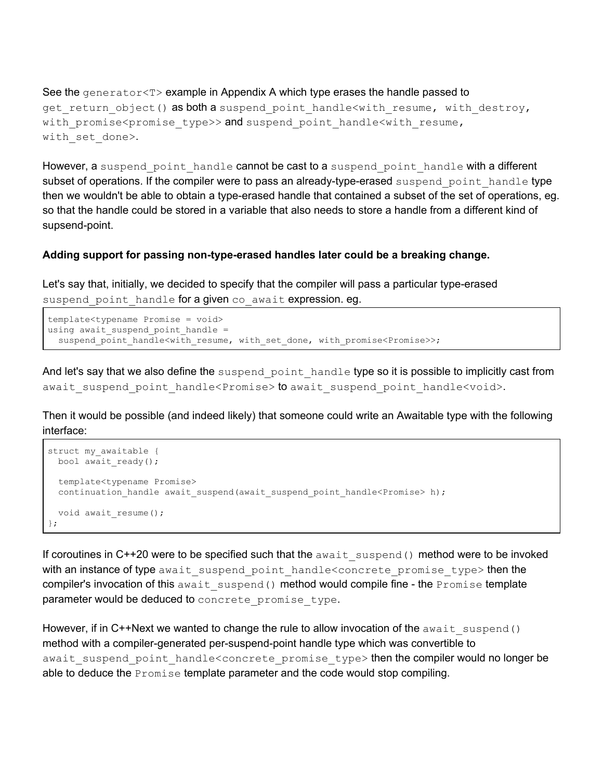See the generator<T> example in Appendix A which type erases the handle passed to get return object() as both a suspend point handle<with resume, with destroy, with promise<promise type>> and suspend point handle<with resume, with set done>.

However, a suspend point handle cannot be cast to a suspend point handle with a different subset of operations. If the compiler were to pass an already-type-erased suspend point handle type then we wouldn't be able to obtain a type-erased handle that contained a subset of the set of operations, eg. so that the handle could be stored in a variable that also needs to store a handle from a different kind of supsend-point.

#### **Adding support for passing non-type-erased handles later could be a breaking change.**

Let's say that, initially, we decided to specify that the compiler will pass a particular type-erased suspend point handle for a given co await expression. eg.

```
template<typename Promise = void>
using await suspend point handle =suspend point handle<with resume, with set done, with promise<Promise>>;
```
And let's say that we also define the suspend point handle type so it is possible to implicitly cast from await suspend point handle<Promise> to await suspend point handle<void>.

Then it would be possible (and indeed likely) that someone could write an Awaitable type with the following interface:

```
struct my awaitable {
 bool await ready();
  template<typename Promise>
 continuation_handle await_suspend(await_suspend_point_handle<Promise> h);
 void await resume();
};
```
If coroutines in C++20 were to be specified such that the await suspend() method were to be invoked with an instance of type await suspend point handle<concrete promise type> then the compiler's invocation of this await suspend() method would compile fine - the Promise template parameter would be deduced to concrete promise type.

However, if in C++Next we wanted to change the rule to allow invocation of the await suspend() method with a compiler-generated per-suspend-point handle type which was convertible to await suspend point handle<concrete promise type> then the compiler would no longer be able to deduce the **Promise** template parameter and the code would stop compiling.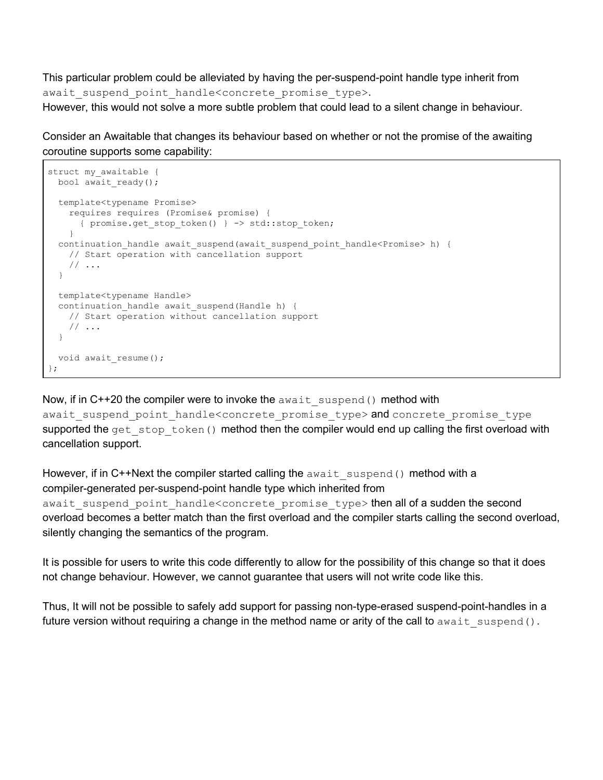This particular problem could be alleviated by having the per-suspend-point handle type inherit from await suspend point handle<concrete promise type>.

However, this would not solve a more subtle problem that could lead to a silent change in behaviour.

Consider an Awaitable that changes its behaviour based on whether or not the promise of the awaiting coroutine supports some capability:

```
struct my_awaitable {
 bool await ready();
   template<typename Promise>
     requires requires (Promise& promise) {
      { promise.get_stop_token() } -> std::stop_token;
 }
 continuation handle await suspend(await suspend point handle<Promise> h) {
    // Start operation with cancellation support
     // ...
   }
  template<typename Handle>
  continuation handle await suspend(Handle h) {
     // Start operation without cancellation support
     // ...
   }
   void await_resume();
};
```
Now, if in  $C++20$  the compiler were to invoke the await suspend() method with await suspend point handle<concrete promise type> and concrete promise type supported the get stop token() method then the compiler would end up calling the first overload with cancellation support.

However, if in  $C$ ++Next the compiler started calling the  $a$ wait suspend() method with a compiler-generated per-suspend-point handle type which inherited from await suspend point handle<concrete promise type> then all of a sudden the second overload becomes a better match than the first overload and the compiler starts calling the second overload, silently changing the semantics of the program.

It is possible for users to write this code differently to allow for the possibility of this change so that it does not change behaviour. However, we cannot guarantee that users will not write code like this.

Thus, It will not be possible to safely add support for passing non-type-erased suspend-point-handles in a future version without requiring a change in the method name or arity of the call to await suspend().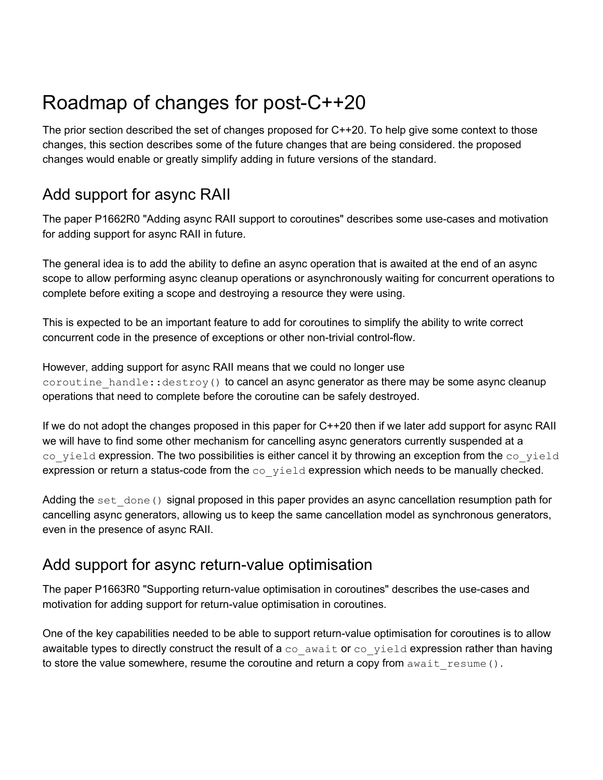# <span id="page-25-0"></span>Roadmap of changes for post-C++20

The prior section described the set of changes proposed for C++20. To help give some context to those changes, this section describes some of the future changes that are being considered. the proposed changes would enable or greatly simplify adding in future versions of the standard.

# <span id="page-25-1"></span>Add support for async RAII

The paper P1662R0 "Adding async RAII support to coroutines" describes some use-cases and motivation for adding support for async RAII in future.

The general idea is to add the ability to define an async operation that is awaited at the end of an async scope to allow performing async cleanup operations or asynchronously waiting for concurrent operations to complete before exiting a scope and destroying a resource they were using.

This is expected to be an important feature to add for coroutines to simplify the ability to write correct concurrent code in the presence of exceptions or other non-trivial control-flow.

However, adding support for async RAII means that we could no longer use coroutine handle::destroy() to cancel an async generator as there may be some async cleanup operations that need to complete before the coroutine can be safely destroyed.

If we do not adopt the changes proposed in this paper for C++20 then if we later add support for async RAII we will have to find some other mechanism for cancelling async generators currently suspended at a co yield expression. The two possibilities is either cancel it by throwing an exception from the co-yield expression or return a status-code from the  $\cos y$ ield expression which needs to be manually checked.

Adding the set  $\phi$  done() signal proposed in this paper provides an async cancellation resumption path for cancelling async generators, allowing us to keep the same cancellation model as synchronous generators, even in the presence of async RAII.

# <span id="page-25-2"></span>Add support for async return-value optimisation

The paper P1663R0 "Supporting return-value optimisation in coroutines" describes the use-cases and motivation for adding support for return-value optimisation in coroutines.

One of the key capabilities needed to be able to support return-value optimisation for coroutines is to allow awaitable types to directly construct the result of a  $\cos$  await or  $\cos$  yield expression rather than having to store the value somewhere, resume the coroutine and return a copy from  $a$  wait resume ().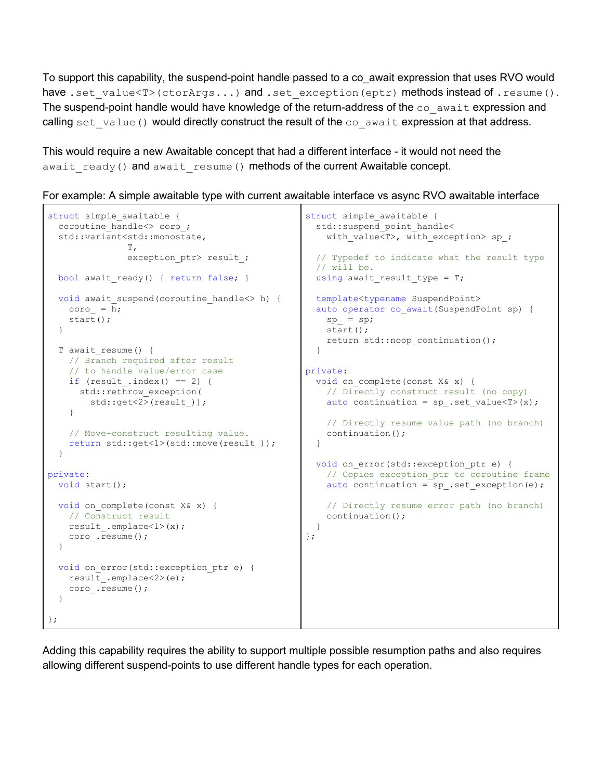To support this capability, the suspend-point handle passed to a co\_await expression that uses RVO would have .set value<T>(ctorArgs...) and .set exception(eptr) methods instead of .resume(). The suspend-point handle would have knowledge of the return-address of the  $\cos$  await expression and calling set value() would directly construct the result of the  $\cos$  await expression at that address.

This would require a new Awaitable concept that had a different interface - it would not need the await ready() and await resume() methods of the current Awaitable concept.

```
For example: A simple awaitable type with current awaitable interface vs async RVO awaitable interface
```

```
struct simple awaitable {
 coroutine handle<> coro;
   std::variant<std::monostate,
                T,
               exception ptr> result ;
 bool await ready() { return false; }
 void await suspend(coroutine handle<> h) {
    coro_ = h;
     start();
   }
  T await_resume() {
    // Branch required after result
     // to handle value/error case
   if (result .index() == 2) {
     std::rethrow exception(
        std::get<2>(result_));
     }
     // Move-construct resulting value.
     return std::get<1>(std::move(result_));
   }
private:
  void start();
 void on complete(const X& x) {
    // Construct result
    result_.emplace<1>(x);
    coro_.resume();
  }
 void on error(std::exception ptr e) {
    result_.emplace<2>(e);
     coro_.resume();
   }
};
                                                  struct simple awaitable {
                                                    std::suspend_point_handle<
                                                      with value<T>, with exception> sp ;
                                                     // Typedef to indicate what the result type
                                                     // will be.
                                                    using await result type = T;
                                                     template<typename SuspendPoint>
                                                    auto operator co await(SuspendPoint sp) {
                                                      sp = sp; start();
                                                       return std::noop_continuation();
                                                     }
                                                  private:
                                                    void on complete(const X& x) {
                                                       // Directly construct result (no copy)
                                                     auto continuation = sp .set value<T>(x);
                                                       // Directly resume value path (no branch)
                                                       continuation();
                                                     }
                                                    void on error(std::exception ptr e) {
                                                       // Copies exception_ptr to coroutine frame
                                                      auto continuation = sp. set_exception(e);
                                                       // Directly resume error path (no branch)
                                                       continuation();
                                                     }
                                                  };
```
Adding this capability requires the ability to support multiple possible resumption paths and also requires allowing different suspend-points to use different handle types for each operation.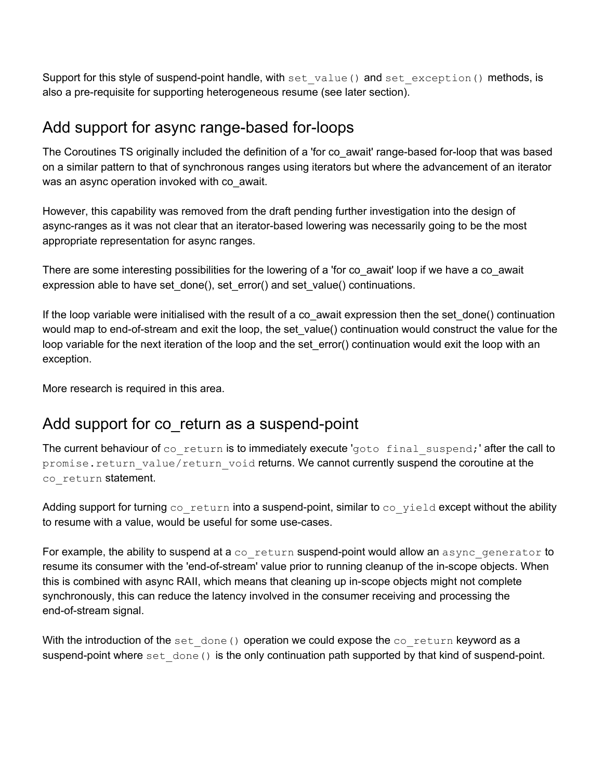Support for this style of suspend-point handle, with set value() and set exception() methods, is also a pre-requisite for supporting heterogeneous resume (see later section).

### <span id="page-27-0"></span>Add support for async range-based for-loops

The Coroutines TS originally included the definition of a 'for co\_await' range-based for-loop that was based on a similar pattern to that of synchronous ranges using iterators but where the advancement of an iterator was an async operation invoked with co await.

However, this capability was removed from the draft pending further investigation into the design of async-ranges as it was not clear that an iterator-based lowering was necessarily going to be the most appropriate representation for async ranges.

There are some interesting possibilities for the lowering of a 'for co\_await' loop if we have a co\_await expression able to have set\_done(), set\_error() and set\_value() continuations.

If the loop variable were initialised with the result of a co\_await expression then the set\_done() continuation would map to end-of-stream and exit the loop, the set\_value() continuation would construct the value for the loop variable for the next iteration of the loop and the set\_error() continuation would exit the loop with an exception.

<span id="page-27-1"></span>More research is required in this area.

# Add support for co\_return as a suspend-point

The current behaviour of  $co$  return is to immediately execute 'goto final suspend;' after the call to promise.return value/return void returns. We cannot currently suspend the coroutine at the co return statement.

Adding support for turning co\_return into a suspend-point, similar to co\_yield except without the ability to resume with a value, would be useful for some use-cases.

For example, the ability to suspend at a co\_return suspend-point would allow an async\_generator to resume its consumer with the 'end-of-stream' value prior to running cleanup of the in-scope objects. When this is combined with async RAII, which means that cleaning up in-scope objects might not complete synchronously, this can reduce the latency involved in the consumer receiving and processing the end-of-stream signal.

With the introduction of the set  $\phi$  done() operation we could expose the  $\phi$  return keyword as a suspend-point where set done() is the only continuation path supported by that kind of suspend-point.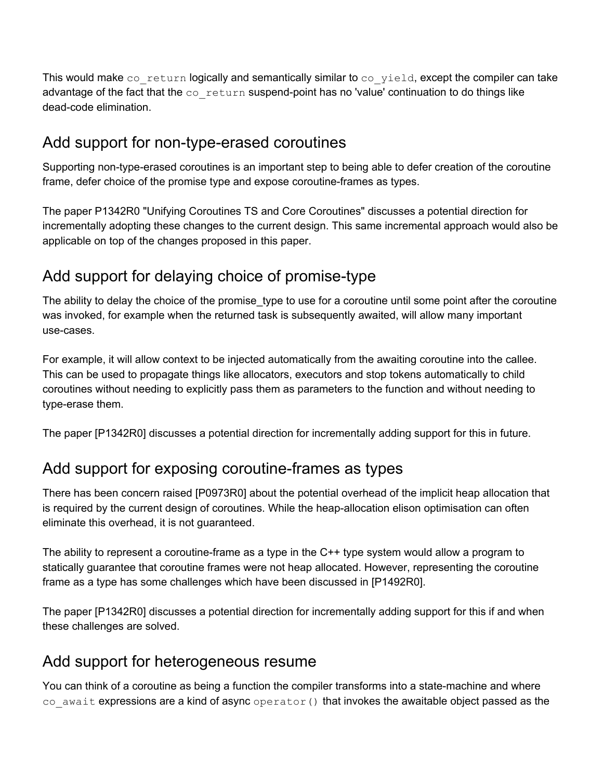This would make co $r$  return logically and semantically similar to co $r$  yield, except the compiler can take advantage of the fact that the co\_return suspend-point has no 'value' continuation to do things like dead-code elimination.

### <span id="page-28-0"></span>Add support for non-type-erased coroutines

Supporting non-type-erased coroutines is an important step to being able to defer creation of the coroutine frame, defer choice of the promise type and expose coroutine-frames as types.

The paper P1342R0 "Unifying Coroutines TS and Core Coroutines" discusses a potential direction for incrementally adopting these changes to the current design. This same incremental approach would also be applicable on top of the changes proposed in this paper.

# <span id="page-28-1"></span>Add support for delaying choice of promise-type

The ability to delay the choice of the promise type to use for a coroutine until some point after the coroutine was invoked, for example when the returned task is subsequently awaited, will allow many important use-cases.

For example, it will allow context to be injected automatically from the awaiting coroutine into the callee. This can be used to propagate things like allocators, executors and stop tokens automatically to child coroutines without needing to explicitly pass them as parameters to the function and without needing to type-erase them.

<span id="page-28-2"></span>The paper [P1342R0] discusses a potential direction for incrementally adding support for this in future.

# Add support for exposing coroutine-frames as types

There has been concern raised [P0973R0] about the potential overhead of the implicit heap allocation that is required by the current design of coroutines. While the heap-allocation elison optimisation can often eliminate this overhead, it is not guaranteed.

The ability to represent a coroutine-frame as a type in the C++ type system would allow a program to statically guarantee that coroutine frames were not heap allocated. However, representing the coroutine frame as a type has some challenges which have been discussed in [P1492R0].

The paper [P1342R0] discusses a potential direction for incrementally adding support for this if and when these challenges are solved.

# <span id="page-28-3"></span>Add support for heterogeneous resume

You can think of a coroutine as being a function the compiler transforms into a state-machine and where co await expressions are a kind of async operator() that invokes the awaitable object passed as the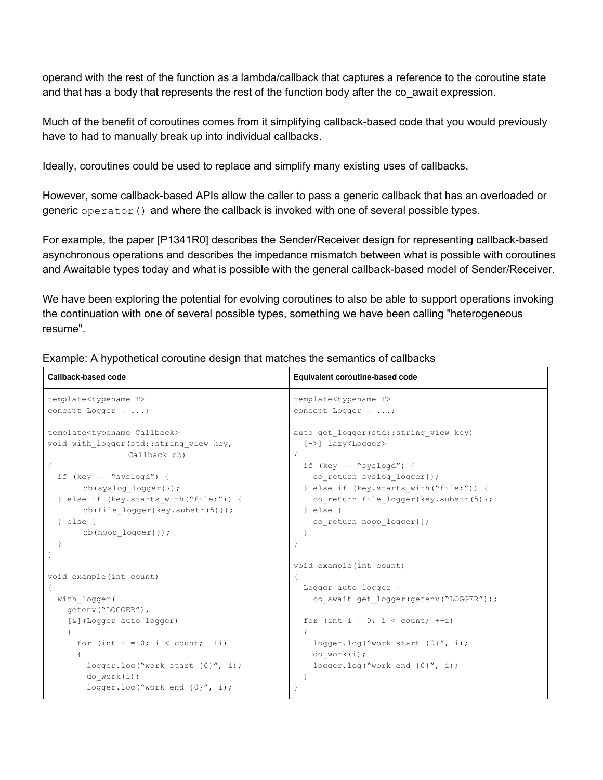operand with the rest of the function as a lambda/callback that captures a reference to the coroutine state and that has a body that represents the rest of the function body after the co\_await expression.

Much of the benefit of coroutines comes from it simplifying callback-based code that you would previously have to had to manually break up into individual callbacks.

Ideally, coroutines could be used to replace and simplify many existing uses of callbacks.

However, some callback-based APIs allow the caller to pass a generic callback that has an overloaded or generic operator() and where the callback is invoked with one of several possible types.

For example, the paper [P1341R0] describes the Sender/Receiver design for representing callback-based asynchronous operations and describes the impedance mismatch between what is possible with coroutines and Awaitable types today and what is possible with the general callback-based model of Sender/Receiver.

We have been exploring the potential for evolving coroutines to also be able to support operations invoking the continuation with one of several possible types, something we have been calling "heterogeneous resume".

| Callback-based code                                                                                                                                                                                                                                                                                                       | Equivalent coroutine-based code                                                                                                                                                                                                                                                                 |
|---------------------------------------------------------------------------------------------------------------------------------------------------------------------------------------------------------------------------------------------------------------------------------------------------------------------------|-------------------------------------------------------------------------------------------------------------------------------------------------------------------------------------------------------------------------------------------------------------------------------------------------|
| template <typename t=""></typename>                                                                                                                                                                                                                                                                                       | template <typename t=""></typename>                                                                                                                                                                                                                                                             |
| concept Logger = $\ldots$ ;                                                                                                                                                                                                                                                                                               | concept Logger = $\ldots$ ;                                                                                                                                                                                                                                                                     |
| template <typename callback=""><br/>void with logger (std::string view key,<br/>Callback cb)<br/>if (key == "syslogd") {<br/><math>cb(syslog log1())</math>;<br/>} else if (key.starts with ("file:")) {<br/>cb (file logger(key.substr(5)));<br/><math>\}</math> else {<br/><math>cb (noop logger{}')</math>;</typename> | auto get logger (std:: string view key)<br>$[->]$ lazy <logger><br/>if (key == "syslogd") {<br/>co return syslog logger{};<br/>} else if (key.starts with ("file:")) {<br/>co return file logger{key.substr(5)};<br/><math>\}</math> else <math>\{</math><br/>co return noop logger{};</logger> |
|                                                                                                                                                                                                                                                                                                                           |                                                                                                                                                                                                                                                                                                 |
|                                                                                                                                                                                                                                                                                                                           | void example(int count)                                                                                                                                                                                                                                                                         |
| void example(int count)                                                                                                                                                                                                                                                                                                   |                                                                                                                                                                                                                                                                                                 |
| $\{$                                                                                                                                                                                                                                                                                                                      | Logger auto logger $=$                                                                                                                                                                                                                                                                          |
| with logger (<br>qetenv("LOGGER"),                                                                                                                                                                                                                                                                                        | co await get logger (getenv ("LOGGER") ) ;                                                                                                                                                                                                                                                      |
| [&] (Logger auto logger)                                                                                                                                                                                                                                                                                                  | for (int $i = 0$ ; $i <$ count; $++i$ )                                                                                                                                                                                                                                                         |
|                                                                                                                                                                                                                                                                                                                           |                                                                                                                                                                                                                                                                                                 |
| for (int i = 0; i < count; $++i$ )<br>$logger.log("work start {0}"', i);$                                                                                                                                                                                                                                                 | $logger.log("work start {0}"', i);$<br>do work(i);<br>$logger.log("work end {0}"', i);$                                                                                                                                                                                                         |
| do work(i);<br>$logger.log("work end {0}"', i);$                                                                                                                                                                                                                                                                          |                                                                                                                                                                                                                                                                                                 |

Example: A hypothetical coroutine design that matches the semantics of callbacks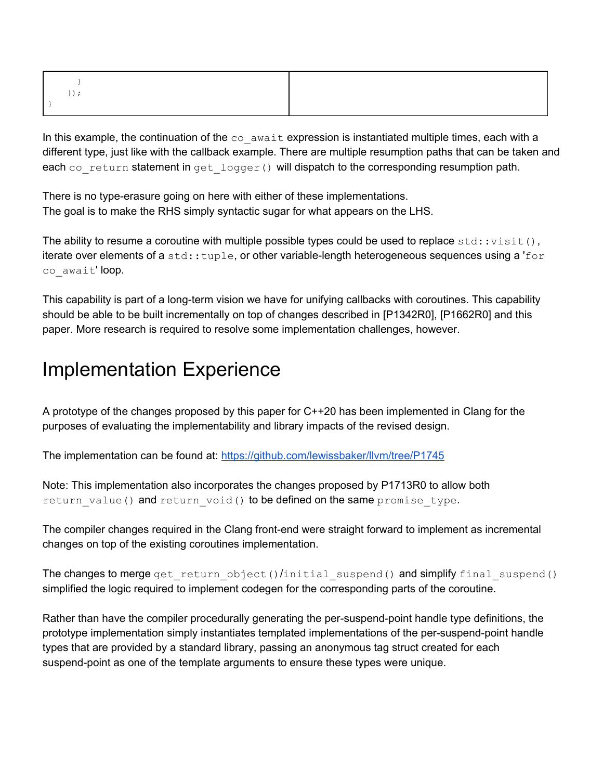In this example, the continuation of the  $\cos$  await expression is instantiated multiple times, each with a different type, just like with the callback example. There are multiple resumption paths that can be taken and each co return statement in get logger() will dispatch to the corresponding resumption path.

There is no type-erasure going on here with either of these implementations. The goal is to make the RHS simply syntactic sugar for what appears on the LHS.

The ability to resume a coroutine with multiple possible types could be used to replace  $\text{std}$ : visit(), iterate over elements of a std::tuple, or other variable-length heterogeneous sequences using a 'for co\_await' loop.

This capability is part of a long-term vision we have for unifying callbacks with coroutines. This capability should be able to be built incrementally on top of changes described in [P1342R0], [P1662R0] and this paper. More research is required to resolve some implementation challenges, however.

# <span id="page-30-0"></span>Implementation Experience

A prototype of the changes proposed by this paper for C++20 has been implemented in Clang for the purposes of evaluating the implementability and library impacts of the revised design.

The implementation can be found at: <https://github.com/lewissbaker/llvm/tree/P1745>

Note: This implementation also incorporates the changes proposed by P1713R0 to allow both return value() and return void() to be defined on the same promise type.

The compiler changes required in the Clang front-end were straight forward to implement as incremental changes on top of the existing coroutines implementation.

The changes to merge get return object()/initial suspend() and simplify final suspend() simplified the logic required to implement codegen for the corresponding parts of the coroutine.

Rather than have the compiler procedurally generating the per-suspend-point handle type definitions, the prototype implementation simply instantiates templated implementations of the per-suspend-point handle types that are provided by a standard library, passing an anonymous tag struct created for each suspend-point as one of the template arguments to ensure these types were unique.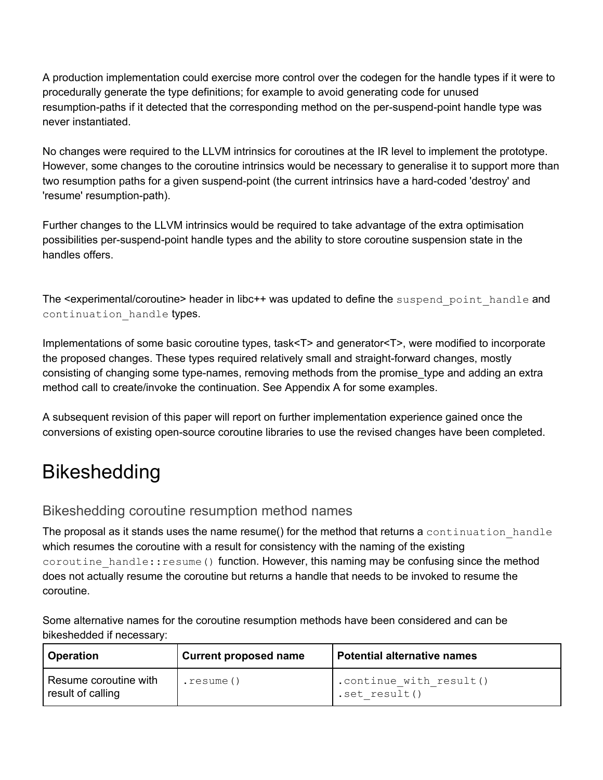A production implementation could exercise more control over the codegen for the handle types if it were to procedurally generate the type definitions; for example to avoid generating code for unused resumption-paths if it detected that the corresponding method on the per-suspend-point handle type was never instantiated.

No changes were required to the LLVM intrinsics for coroutines at the IR level to implement the prototype. However, some changes to the coroutine intrinsics would be necessary to generalise it to support more than two resumption paths for a given suspend-point (the current intrinsics have a hard-coded 'destroy' and 'resume' resumption-path).

Further changes to the LLVM intrinsics would be required to take advantage of the extra optimisation possibilities per-suspend-point handle types and the ability to store coroutine suspension state in the handles offers.

The <experimental/coroutine> header in libc++ was updated to define the suspend point handle and continuation handle types.

Implementations of some basic coroutine types, task<T> and generator<T>, were modified to incorporate the proposed changes. These types required relatively small and straight-forward changes, mostly consisting of changing some type-names, removing methods from the promise\_type and adding an extra method call to create/invoke the continuation. See Appendix A for some examples.

A subsequent revision of this paper will report on further implementation experience gained once the conversions of existing open-source coroutine libraries to use the revised changes have been completed.

# <span id="page-31-0"></span>Bikeshedding

#### <span id="page-31-1"></span>Bikeshedding coroutine resumption method names

The proposal as it stands uses the name resume() for the method that returns a continuation handle which resumes the coroutine with a result for consistency with the naming of the existing coroutine handle:: resume() function. However, this naming may be confusing since the method does not actually resume the coroutine but returns a handle that needs to be invoked to resume the coroutine.

Some alternative names for the coroutine resumption methods have been considered and can be bikeshedded if necessary:

| <b>Operation</b>                           | <b>Current proposed name</b> | Potential alternative names              |
|--------------------------------------------|------------------------------|------------------------------------------|
| Resume coroutine with<br>result of calling | .resume()                    | .continue with result()<br>.set result() |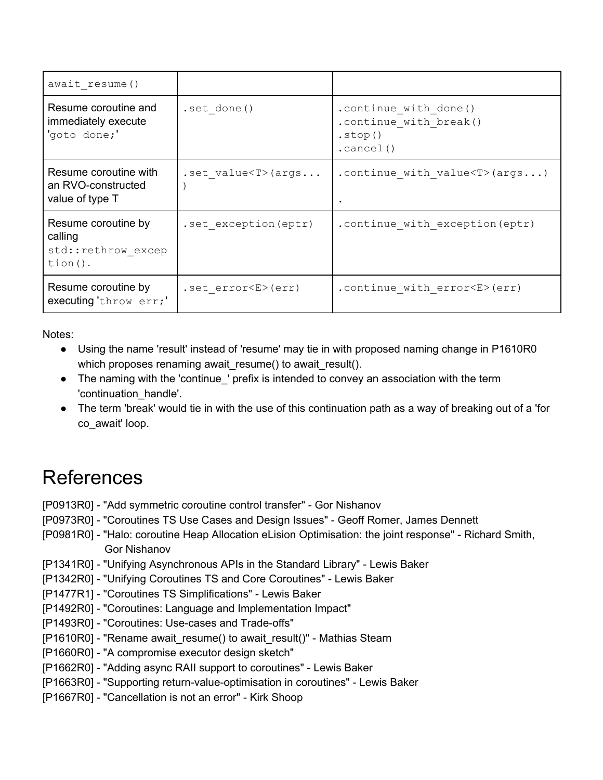| await resume()                                                     |                       |                                                                          |
|--------------------------------------------------------------------|-----------------------|--------------------------------------------------------------------------|
| Resume coroutine and<br>immediately execute<br>'goto done;'        | .set done()           | .continue with done()<br>.continue with break()<br>. stop()<br>.cancel() |
| Resume coroutine with<br>an RVO-constructed<br>value of type T     | .set $value < T$ args | . continue with value $\langle T \rangle$ (args)                         |
| Resume coroutine by<br>calling<br>std::rethrow excep<br>$tion()$ . | .set exception (eptr) | . continue with exception (eptr)                                         |
| Resume coroutine by<br>executing 'throw err;'                      | .set $error< E>(err)$ | .continue with error <e>(err)</e>                                        |

Notes:

- Using the name 'result' instead of 'resume' may tie in with proposed naming change in P1610R0 which proposes renaming await\_resume() to await\_result().
- The naming with the 'continue\_' prefix is intended to convey an association with the term 'continuation\_handle'.
- The term 'break' would tie in with the use of this continuation path as a way of breaking out of a 'for co\_await' loop.

# <span id="page-32-0"></span>References

- [P0913R0] "Add symmetric coroutine control transfer" Gor Nishanov
- [P0973R0] "Coroutines TS Use Cases and Design Issues" Geoff Romer, James Dennett
- [P0981R0] "Halo: coroutine Heap Allocation eLision Optimisation: the joint response" Richard Smith, Gor Nishanov
- [P1341R0] "Unifying Asynchronous APIs in the Standard Library" Lewis Baker
- [P1342R0] "Unifying Coroutines TS and Core Coroutines" Lewis Baker
- [P1477R1] "Coroutines TS Simplifications" Lewis Baker
- [P1492R0] "Coroutines: Language and Implementation Impact"
- [P1493R0] "Coroutines: Use-cases and Trade-offs"
- [P1610R0] "Rename await\_resume() to await\_result()" Mathias Stearn
- [P1660R0] "A compromise executor design sketch"
- [P1662R0] "Adding async RAII support to coroutines" Lewis Baker
- [P1663R0] "Supporting return-value-optimisation in coroutines" Lewis Baker
- [P1667R0] "Cancellation is not an error" Kirk Shoop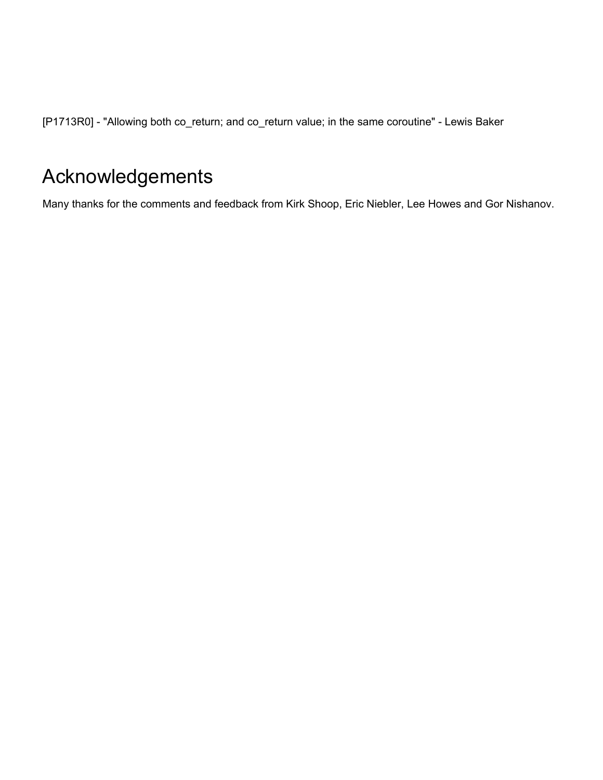[P1713R0] - "Allowing both co\_return; and co\_return value; in the same coroutine" - Lewis Baker

# <span id="page-33-0"></span>Acknowledgements

Many thanks for the comments and feedback from Kirk Shoop, Eric Niebler, Lee Howes and Gor Nishanov.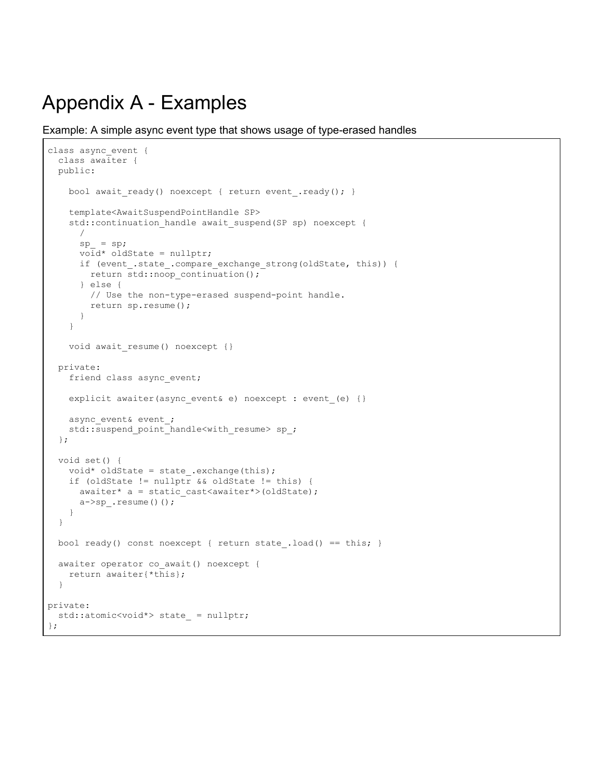# <span id="page-34-0"></span>Appendix A - Examples

Example: A simple async event type that shows usage of type-erased handles

```
class async_event {
   class awaiter {
   public:
    bool await ready() noexcept { return event .ready(); }
     template<AwaitSuspendPointHandle SP>
     std::continuation_handle await_suspend(SP sp) noexcept {
       /
      sp_{-} = sp;
       void* oldState = nullptr;
       if (event_.state_.compare_exchange_strong(oldState, this)) {
        return std::noop_continuation();
       } else {
         // Use the non-type-erased suspend-point handle.
         return sp.resume();
       }
     }
     void await_resume() noexcept {}
  private:
     friend class async_event;
     explicit awaiter(async_event& e) noexcept : event_(e) {}
    async_event& event ;
    std::suspend_point_handle<with_resume> sp_;
   };
   void set() {
    void* oldState = state_.exchange(this);
     if (oldState != nullptr && oldState != this) {
     awaiter* a = static cast<awaiter*>(oldState);
       a->sp_.resume()();
     }
   }
 bool ready() const noexcept { return state .load() == this; }
 awaiter operator co await() noexcept {
     return awaiter{*this};
   }
private:
 std::atomic<void*> state = nullptr;
};
```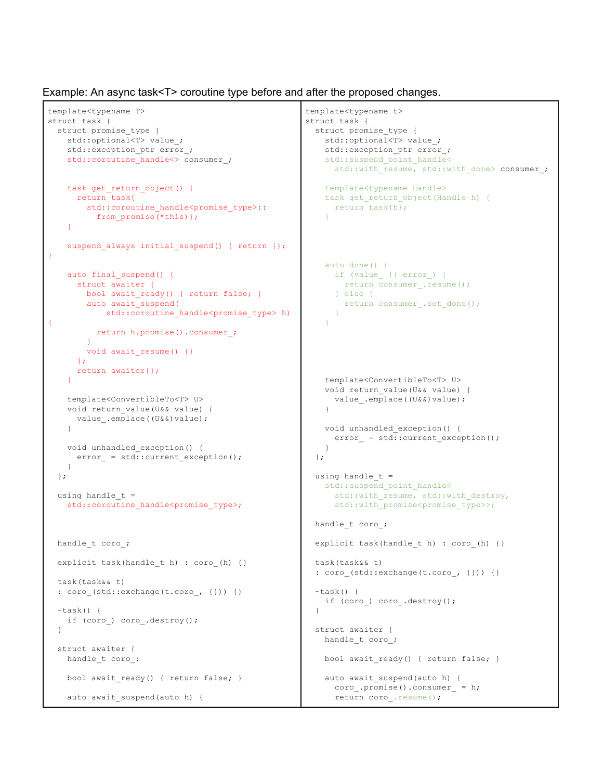Example: An async task<T> coroutine type before and after the proposed changes.

```
template<typename T>
struct task {
 struct promise_type {
   std::optional<T> value ;
   std::exception ptr error;
   std::coroutine handle<> consumer ;
   task get_return_object() {
     return task{
       std::coroutine handle<promise type>::
         from_promise(*this)};
    }
   suspend always initial suspend() { return {};
}
   auto final suspend() {
     struct awaiter {
      bool await ready() { return false; }
       auto await_suspend(
         std::coroutine_handle<promise_type> h)
{
         return h.promise().consumer_;
       }
       void await_resume() {}
     };
     return awaiter{};
   }
   template<ConvertibleTo<T> U>
   void return_value(U&& value) {
     value_.emplace((U&&)value);
   }
   void unhandled_exception() {
     error = std::current exception();
   }
 };
 using handle t =std::coroutine handle<promise type>;
 handle t coro ;
 explicit task(handle_t h) : coro_(h) {}
 task(task&& t)
 : coro_(std::exchange(t.coro_, {})) {}
 ~\simtask() {
   if (coro ) coro .destroy();
  }
 struct awaiter {
   handle t coro ;
   bool await ready() { return false; }
   auto await suspend(auto h) {
```

```
template<typename t>
struct task {
 struct promise_type {
   std::optional<T> value ;
   std::exception ptr error;
   std:: suspend point handle<
     std::with resume, std::with done> consumer ;
   template<typename Handle>
   task get return object(Handle h) {
     return task{h};
   }
   auto done() {
    if (value || error ) {
      return consumer .resume();
     } else {
       return consumer_.set_done();
     }
   }
   template<ConvertibleTo<T> U>
   void return_value(U&& value) {
     value .emplace((U&&)value);
   }
   void unhandled_exception() {
     error_ = std::current_exception();
   }
 };
 using handle t =std:: suspend point handle<
     std::with_resume, std::with_destroy,
     std::with_promise<promise_type>>;
 handle t coro ;
 explicit task(handle t h) : coro (h) {}
 task(task&& t)
 : coro_(std::exchange(t.coro_, {})) {}
 ~\simtask() {
  if (coro_) coro_.destroy();
  }
 struct awaiter {
   handle t coro ;
   bool await_ready() { return false; }
   auto await suspend(auto h) {
    coro_.promise().consumer_ = h;
     return coro .resume();
```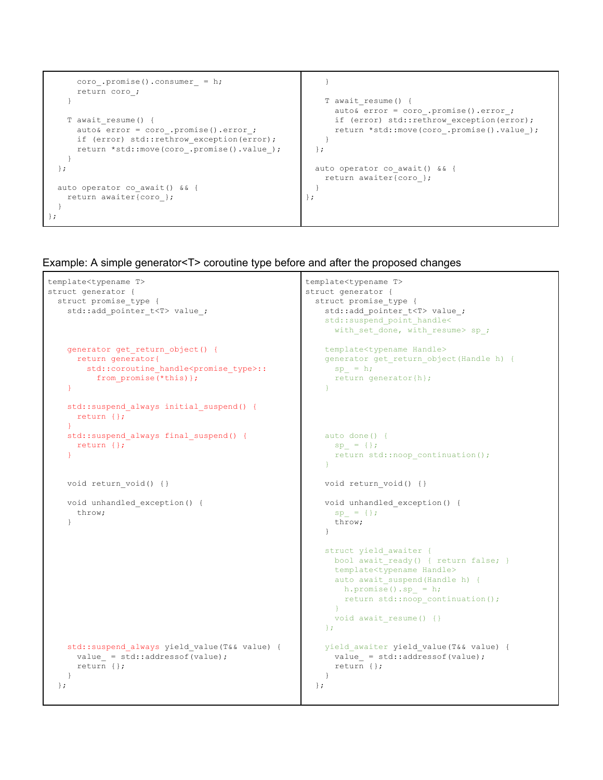```
coro_.promise().consumer_ = h;
      return coro_;
    }
   T await_resume() {
     auto& error = coro .promise().error;
      if (error) std::rethrow exception(error);
     return *std::move(coro_.promise().value_);
   }
 };
 auto operator co await() && {
   return awaiter{coro_};
 }
};
                                                          }
                                                          T await_resume() {
                                                           auto& error = coro .promise().error;
                                                            if (error) std::rethrow exception(error);
                                                            return *std::move(coro_.promise().value_);
                                                          }
                                                        };
                                                        auto operator co_await() && {
                                                         return awaiter{coro_};
                                                        }
                                                      };
```
#### Example: A simple generator<T> coroutine type before and after the proposed changes

```
template<typename T>
struct generator {
 struct promise_type {
   std::add_pointer_t<T> value ;
   generator get_return_object() {
     return generator{
       std::coroutine_handle<promise_type>::
         from promise(*this) };
    }
    std::suspend_always initial_suspend() {
     return {};
    }
    std::suspend always final suspend() {
     return {};
    }
   void return void() {}
   void unhandled_exception() {
     throw;
    }
    std::suspend always yield value(T&& value) {
     value_ = std::addressof(value);return {};
    }
 };
                                                     template<typename T>
                                                     struct generator {
                                                       struct promise_type {
                                                         std::add_pointer_t<T> value ;
                                                         std:: suspend point handle<
                                                           with set done, with resume> sp ;
                                                         template<typename Handle>
                                                         generator get_return_object(Handle h) {
                                                           sp = h;return generator{h};
                                                         }
                                                         auto done() {
                                                           sp = {}};return std::noop_continuation();
                                                         }
                                                         void return void() {}
                                                         void unhandled_exception() {
                                                           sp = { }throw;
                                                         }
                                                         struct yield awaiter {
                                                           bool await ready() { return false; }
                                                           template<typename Handle>
                                                           auto await suspend(Handle h) {
                                                            h.promise().sp_ = h;
                                                             return std::noop_continuation();
                                                            }
                                                           void await_resume() {}
                                                         };
                                                         yield awaiter yield value(T&& value) {
                                                           value_ = std::addressof(value);return {};
                                                         }
                                                       };
```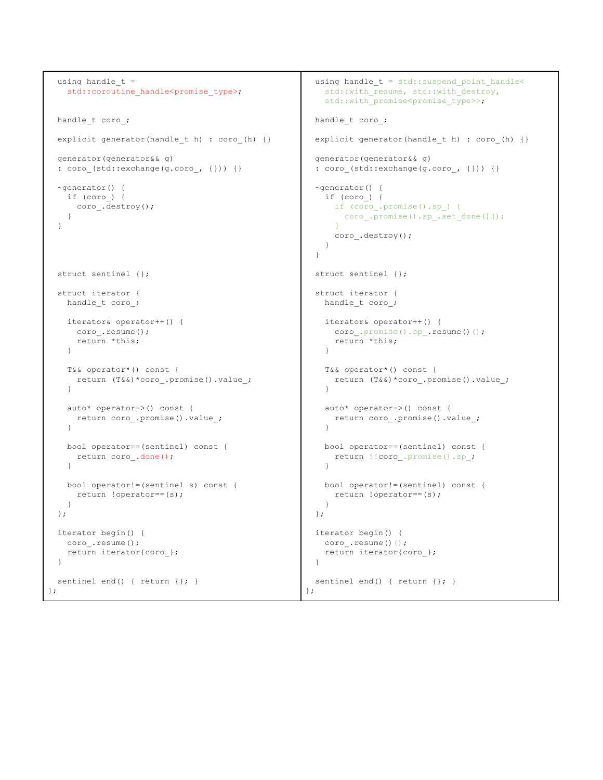```
using handle t =std:: coroutine handle<promise type>;
 handle t coro ;
 explicit generator(handle t h) : coro (h) {}
 generator(generator&& g)
 : coro_(std::exchange(g.coro_, {})) {}
 ~generator() {
   if (coro_) {
     coro_.destroy();
    }
 }
 struct sentinel {};
 struct iterator {
   handle_t coro_;
   iterator& operator++() {
    coro_.resume();
     return *this;
   }
   T&& operator*() const {
    return (T&&)*coro_.promise().value_;
    }
   auto* operator->() const {
    return coro_.promise().value_;
   }
   bool operator==(sentinel) const {
    return coro_.done();
   }
   bool operator!=(sentinel s) const {
    return !operator==(s);
   }
 };
 iterator begin() {
  coro .resume();
   return iterator{coro_};
 }
 sentinel end() { return {}; }
};
                                                       using handle_t = std::suspend_point_handle<
                                                       std::with resume, std::with destroy,
                                                        std::with promise<promise type>>;
                                                      handle t coro ;
                                                      explicit generator(handle t h) : coro (h) {}
                                                      generator(generator&& g)
                                                      : coro_(std::exchange(g.coro_, {})) {}
                                                      ~generator() {
                                                        if (coro_) {
                                                          if (coro_.promise().sp_) {
                                                           coro_.promise().sp_.set_done()();
                                                           }
                                                          coro_.destroy();
                                                        }
                                                       }
                                                      struct sentinel {};
                                                      struct iterator {
                                                        handle_t coro_;
                                                        iterator& operator++() {
                                                          coro .promise().sp .resume()();
                                                          return *this;
                                                        }
                                                        T&& operator*() const {
                                                         return (T&&)*coro_.promise().value_;
                                                         }
                                                        auto* operator->() const {
                                                         return coro_.promise().value_;
                                                        }
                                                        bool operator==(sentinel) const {
                                                         return !!coro_.promise().sp_;
                                                        }
                                                        bool operator!=(sentinel) const {
                                                          return !operator==(s);
                                                        }
                                                      };
                                                      iterator begin() {
                                                       coro .resume()();
                                                        return iterator{coro_};
                                                       }
                                                      sentinel end() { return {}; }
                                                     };
```